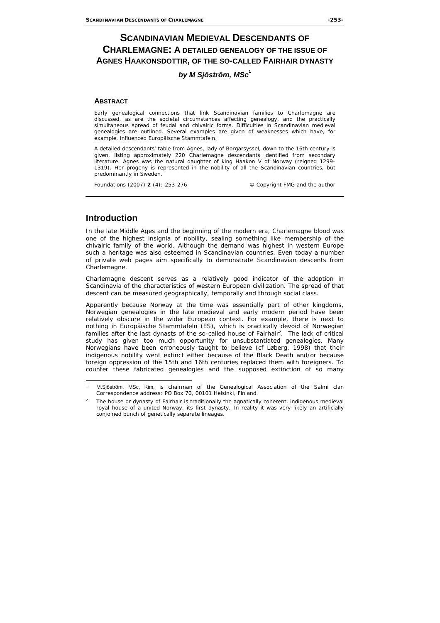# **SCANDINAVIAN MEDIEVAL DESCENDANTS OF CHARLEMAGNE: A DETAILED GENEALOGY OF THE ISSUE OF AGNES HAAKONSDOTTIR, OF THE SO-CALLED FAIRHAIR DYNASTY**

### *by M Sjöström, MSc***<sup>1</sup>**

#### **ABSTRACT**

Early genealogical connections that link Scandinavian families to Charlemagne are discussed, as are the societal circumstances affecting genealogy, and the practically simultaneous spread of feudal and chivalric forms. Difficulties in Scandinavian medieval genealogies are outlined. Several examples are given of weaknesses which have, for example, influenced *Europäische Stammtafeln*.

A detailed descendants' table from Agnes, lady of Borgarsyssel, down to the 16th century is given, listing approximately 220 Charlemagne descendants identified from secondary literature. Agnes was the natural daughter of king Haakon V of Norway (reigned 1299- 1319). Her progeny is represented in the nobility of all the Scandinavian countries, but predominantly in Sweden.

*Foundations (2007) 2 (4): 253-276 © Copyright FMG and the author* 

## **Introduction**

In the late Middle Ages and the beginning of the modern era, Charlemagne blood was one of the highest insignia of nobility, sealing something like membership of the chivalric family of the world. Although the demand was highest in western Europe such a heritage was also esteemed in Scandinavian countries. Even today a number of private web pages aim specifically to demonstrate Scandinavian descents from Charlemagne.

Charlemagne descent serves as a relatively good indicator of the adoption in Scandinavia of the characteristics of western European civilization. The spread of that descent can be measured geographically, temporally and through social class.

Apparently because Norway at the time was essentially part of other kingdoms, Norwegian genealogies in the late medieval and early modern period have been relatively obscure in the wider European context. For example, there is next to nothing in *Europäische Stammtafeln* (ES), which is practically devoid of Norwegian families after the last dynasts of the so-called house of Fairhair<sup>2</sup>. The lack of critical study has given too much opportunity for unsubstantiated genealogies. Many Norwegians have been erroneously taught to believe (*cf* Løberg, 1998) that their indigenous nobility went extinct either because of the Black Death and/or because foreign oppression of the 15th and 16th centuries replaced them with foreigners. To counter these fabricated genealogies and the supposed extinction of so many

j <sup>1</sup> M.Sjöström, MSc, Kim, is chairman of the Genealogical Association of the Salmi clan *Correspondence address:* PO Box 70, 00101 Helsinki, Finland.

<sup>2</sup> The house or dynasty of Fairhair is traditionally the agnatically coherent, indigenous medieval royal house of a united Norway, its first dynasty. In reality it was very likely an artificially conjoined bunch of genetically separate lineages.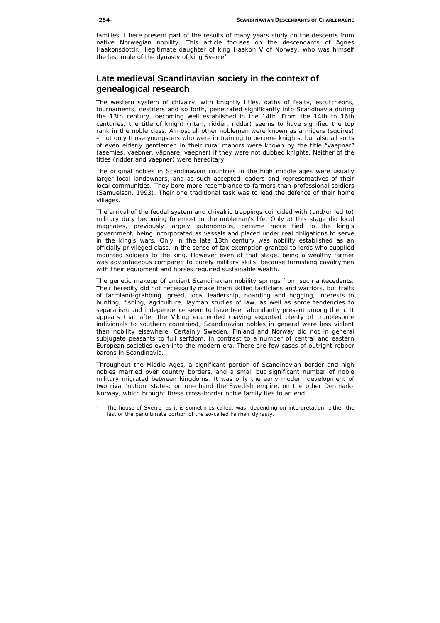families, I here present part of the results of many years study on the descents from native Norwegian nobility. This article focuses on the descendants of Agnes Haakonsdottir, illegitimate daughter of king Haakon V of Norway, who was himself the last male of the dynasty of king Sverre<sup>3</sup>.

## **Late medieval Scandinavian society in the context of genealogical research**

The western system of chivalry, with knightly titles, oaths of fealty, escutcheons, tournaments, destriers and so forth, penetrated significantly into Scandinavia during the 13th century, becoming well established in the 14th. From the 14th to 16th centuries, the title of knight (*ritari, ridder, riddar*) seems to have signified the top rank in the noble class. Almost all other noblemen were known as armigers (squires) – not only those youngsters who were in training to become knights, but also all sorts of even elderly gentlemen in their rural manors were known by the title "*vaepnar*" (*asemies, vaebner, väpnare, vaepner*) if they were not dubbed knights. Neither of the titles (*ridder* and *vaepner*) were hereditary.

The original nobles in Scandinavian countries in the high middle ages were usually larger local landowners, and as such accepted leaders and representatives of their local communities. They bore more resemblance to farmers than professional soldiers (Samuelson, 1993). Their one traditional task was to lead the defence of their home villages.

The arrival of the feudal system and chivalric trappings coincided with (and/or led to) military duty becoming foremost in the nobleman's life. Only at this stage did local magnates, previously largely autonomous, became more tied to the king's government, being incorporated as vassals and placed under real obligations to serve in the king's wars. Only in the late 13th century was nobility established as an officially privileged class, in the sense of tax exemption granted to lords who supplied mounted soldiers to the king. However even at that stage, being a wealthy farmer was advantageous compared to purely military skills, because furnishing cavalrymen with their equipment and horses required sustainable wealth.

The genetic makeup of ancient Scandinavian nobility springs from such antecedents. Their heredity did not necessarily make them skilled tacticians and warriors, but traits of farmland-grabbing, greed, local leadership, hoarding and hogging, interests in hunting, fishing, agriculture, layman studies of law, as well as some tendencies to separatism and independence seem to have been abundantly present among them. It appears that after the Viking era ended (having exported plenty of troublesome individuals to southern countries), Scandinavian nobles in general were less violent than nobility elsewhere. Certainly Sweden, Finland and Norway did not in general subjugate peasants to full serfdom, in contrast to a number of central and eastern European societies even into the modern era. There are few cases of outright robber barons in Scandinavia.

Throughout the Middle Ages, a significant portion of Scandinavian border and high nobles married over country borders, and a small but significant number of noble military migrated between kingdoms. It was only the early modern development of two rival 'nation' states: on one hand the Swedish empire, on the other Denmark-Norway, which brought these cross-border noble family ties to an end.

<sup>-</sup>3 The house of Sverre, as it is sometimes called, was, depending on interpretation, either the last or the penultimate portion of the so-called Fairhair dynasty.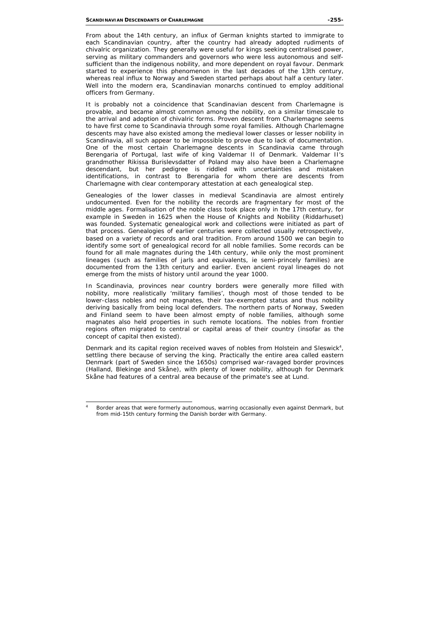From about the 14th century, an influx of German knights started to immigrate to each Scandinavian country, after the country had already adopted rudiments of chivalric organization. They generally were useful for kings seeking centralised power, serving as military commanders and governors who were less autonomous and selfsufficient than the indigenous nobility, and more dependent on royal favour. Denmark started to experience this phenomenon in the last decades of the 13th century, whereas real influx to Norway and Sweden started perhaps about half a century later. Well into the modern era, Scandinavian monarchs continued to employ additional officers from Germany.

It is probably not a coincidence that Scandinavian descent from Charlemagne is provable, and became almost common among the nobility, on a similar timescale to the arrival and adoption of chivalric forms. Proven descent from Charlemagne seems to have first come to Scandinavia through some royal families. Although Charlemagne descents may have also existed among the medieval lower classes or lesser nobility in Scandinavia, all such appear to be impossible to prove due to lack of documentation. One of the most certain Charlemagne descents in Scandinavia came through Berengaria of Portugal, last wife of king Valdemar II of Denmark. Valdemar II's grandmother Rikissa Burislevsdatter of Poland may also have been a Charlemagne descendant, but her pedigree is riddled with uncertainties and mistaken identifications, in contrast to Berengaria for whom there are descents from Charlemagne with clear contemporary attestation at each genealogical step.

Genealogies of the lower classes in medieval Scandinavia are almost entirely undocumented. Even for the nobility the records are fragmentary for most of the middle ages. Formalisation of the noble class took place only in the 17th century, for example in Sweden in 1625 when the House of Knights and Nobility (*Riddarhuset*) was founded. Systematic genealogical work and collections were initiated as part of that process. Genealogies of earlier centuries were collected usually retrospectively, based on a variety of records and oral tradition. From around 1500 we can begin to identify some sort of genealogical record for all noble families. Some records can be found for all male magnates during the 14th century, while only the most prominent lineages (such as families of jarls and equivalents, *ie* semi-princely families) are documented from the 13th century and earlier. Even ancient royal lineages do not emerge from the mists of history until around the year 1000.

In Scandinavia, provinces near country borders were generally more filled with nobility, more realistically 'military families', though most of those tended to be lower-class nobles and not magnates, their tax-exempted status and thus nobility deriving basically from being local defenders. The northern parts of Norway, Sweden and Finland seem to have been almost empty of noble families, although some magnates also held properties in such remote locations. The nobles from frontier regions often migrated to central or capital areas of their country (insofar as the concept of capital then existed).

Denmark and its capital region received waves of nobles from Holstein and Sleswick<sup>4</sup>, settling there because of serving the king. Practically the entire area called eastern Denmark (part of Sweden since the 1650s) comprised war-ravaged border provinces (Halland, Blekinge and Skåne), with plenty of lower nobility, although for Denmark Skåne had features of a central area because of the primate's see at Lund.

j 4 Border areas that were formerly autonomous, warring occasionally even against Denmark, but from mid-15th century forming the Danish border with Germany.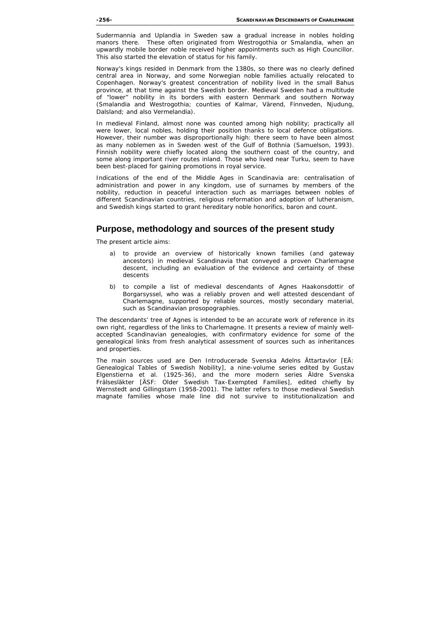Sudermannia and Uplandia in Sweden saw a gradual increase in nobles holding manors there. These often originated from Westrogothia or Smalandia, when an upwardly mobile border noble received higher appointments such as High Councillor. This also started the elevation of status for his family.

Norway's kings resided in Denmark from the 1380s, so there was no clearly defined central area in Norway, and some Norwegian noble families actually relocated to Copenhagen. Norway's greatest concentration of nobility lived in the small Bahus province, at that time against the Swedish border. Medieval Sweden had a multitude of "lower" nobility in its borders with eastern Denmark and southern Norway (Smalandia and Westrogothia; counties of Kalmar, Värend, Finnveden, Njudung, Dalsland; and also Vermelandia).

In medieval Finland, almost none was counted among high nobility; practically all were lower, local nobles, holding their position thanks to local defence obligations. However, their number was disproportionally high: there seem to have been almost as many noblemen as in Sweden west of the Gulf of Bothnia (Samuelson, 1993). Finnish nobility were chiefly located along the southern coast of the country, and some along important river routes inland. Those who lived near Turku, seem to have been best-placed for gaining promotions in royal service.

Indications of the end of the Middle Ages in Scandinavia are: centralisation of administration and power in any kingdom, use of surnames by members of the nobility, reduction in peaceful interaction such as marriages between nobles of different Scandinavian countries, religious reformation and adoption of lutheranism, and Swedish kings started to grant hereditary noble honorifics, baron and count.

### **Purpose, methodology and sources of the present study**

The present article aims:

- a) to provide an overview of historically known families (and gateway ancestors) in medieval Scandinavia that conveyed a proven Charlemagne descent, including an evaluation of the evidence and certainty of these descents
- b) to compile a list of medieval descendants of Agnes Haakonsdottir of Borgarsyssel, who was a reliably proven and well attested descendant of Charlemagne, supported by reliable sources, mostly secondary material, such as Scandinavian prosopographies.

The descendants' tree of Agnes is intended to be an accurate work of reference in its own right, regardless of the links to Charlemagne. It presents a review of mainly wellaccepted Scandinavian genealogies, with confirmatory evidence for some of the genealogical links from fresh analytical assessment of sources such as inheritances and properties.

The main sources used are *Den Introducerade Svenska Adelns Ättartavlor* [EÄ: Genealogical Tables of Swedish Nobility], a nine-volume series edited by Gustav Elgenstierna et al. (1925-36), and the more modern series *Äldre Svenska Frälsesläkter* [ÄSF: Older Swedish Tax-Exempted Families], edited chiefly by Wernstedt and Gillingstam (1958-2001). The latter refers to those medieval Swedish magnate families whose male line did not survive to institutionalization and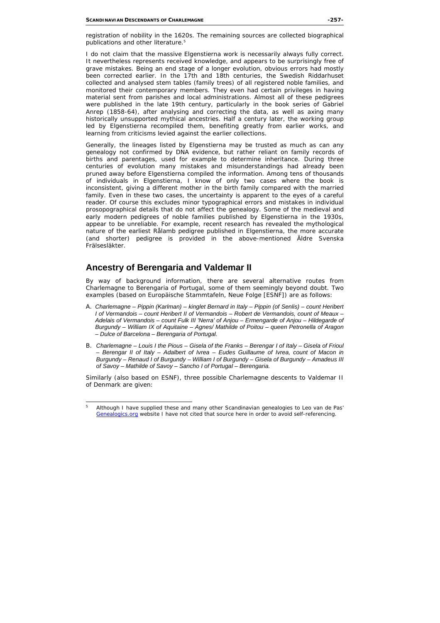registration of nobility in the 1620s. The remaining sources are collected biographical publications and other literature.<sup>5</sup>

I do not claim that the massive Elgenstierna work is necessarily always fully correct. It nevertheless represents received knowledge, and appears to be surprisingly free of grave mistakes. Being an end stage of a longer evolution, obvious errors had mostly been corrected earlier. In the 17th and 18th centuries, the Swedish *Riddarhuset* collected and analysed stem tables (family trees) of all registered noble families, and monitored their contemporary members. They even had certain privileges in having material sent from parishes and local administrations. Almost all of these pedigrees were published in the late 19th century, particularly in the book series of Gabriel Anrep (1858-64), after analysing and correcting the data, as well as axing many historically unsupported mythical ancestries. Half a century later, the working group led by Elgenstierna recompiled them, benefiting greatly from earlier works, and learning from criticisms levied against the earlier collections.

Generally, the lineages listed by Elgenstierna may be trusted as much as can any genealogy not confirmed by DNA evidence, but rather reliant on family records of births and parentages, used for example to determine inheritance. During three centuries of evolution many mistakes and misunderstandings had already been pruned away before Elgenstierna compiled the information. Among tens of thousands of individuals in Elgenstierna, I know of only two cases where the book is inconsistent, giving a different mother in the birth family compared with the married family. Even in these two cases, the uncertainty is apparent to the eyes of a careful reader. Of course this excludes minor typographical errors and mistakes in individual prosopographical details that do not affect the genealogy. Some of the medieval and early modern pedigrees of noble families published by Elgenstierna in the 1930s, appear to be unreliable. For example, recent research has revealed the mythological nature of the earliest Rålamb pedigree published in Elgenstierna, the more accurate (and shorter) pedigree is provided in the above-mentioned *Äldre Svenska Frälsesläkter*.

# **Ancestry of Berengaria and Valdemar II**

By way of background information, there are several alternative routes from Charlemagne to Berengaria of Portugal, some of them seemingly beyond doubt. Two examples (based on *Europäische Stammtafeln, Neue Folge* [ESNF]) are as follows:

- A. *Charlemagne Pippin (Karlman) kinglet Bernard in Italy Pippin (of Senlis) count Heribert I of Vermandois – count Heribert II of Vermandois – Robert de Vermandois, count of Meaux – Adelais of Vermandois – count Fulk III 'Nerra' of Anjou – Ermengarde of Anjou – Hildegarde of Burgundy – William IX of Aquitaine – Agnes/ Mathilde of Poitou – queen Petronella of Aragon – Dulce of Barcelona – Berengaria of Portugal.*
- B. *Charlemagne Louis I the Pious Gisela of the Franks Berengar I of Italy Gisela of Frioul – Berengar II of Italy – Adalbert of Ivrea – Eudes Guillaume of Ivrea, count of Macon in Burgundy – Renaud I of Burgundy – William I of Burgundy – Gisela of Burgundy – Amadeus III of Savoy – Mathilde of Savoy – Sancho I of Portugal – Berengaria.*

Similarly (also based on ESNF), three possible Charlemagne descents to Valdemar II of Denmark are given:

j 5 Although I have supplied these and many other Scandinavian genealogies to Leo van de Pas' Genealogics.org website I have not cited that source here in order to avoid self-referencing.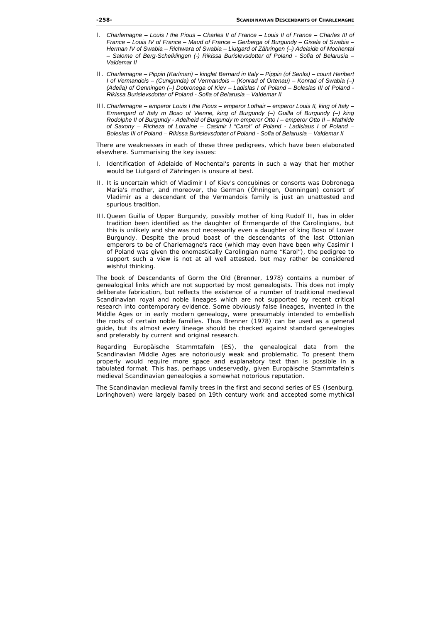- I. *Charlemagne Louis I the Pious Charles II of France Louis II of France Charles III of France – Louis IV of France – Maud of France – Gerberga of Burgundy – Gisela of Swabia – Herman IV of Swabia – Richwara of Swabia – Liutgard of Zähringen (–) Adelaide of Mochental – Salome of Berg-Schelklingen (-) Rikissa Burislevsdotter of Poland - Sofia of Belarusia – Valdemar II*
- II. *Charlemagne Pippin (Karlman) kinglet Bernard in Italy Pippin (of Senlis) count Heribert I of Vermandois – (Cunigunda) of Vermandois – (Konrad of Ortenau) – Konrad of Swabia (–) (Adelia) of Oenningen (–) Dobronega of Kiev – Ladislas I of Poland – Boleslas III of Poland - Rikissa Burislevsdotter of Poland - Sofia of Belarusia – Valdemar II*
- III. *Charlemagne emperor Louis I the Pious emperor Lothair emperor Louis II, king of Italy Ermengard of Italy m Boso of Vienne, king of Burgundy (–) Guilla of Burgundy (–) king Rodolphe II of Burgundy - Adelheid of Burgundy m emperor Otto I – emperor Otto II – Mathilde of Saxony – Richeza of Lorraine – Casimir I "Carol" of Poland - Ladislaus I of Poland – Boleslas III of Poland – Rikissa Burislevsdotter of Poland - Sofia of Belarusia – Valdemar II*

There are weaknesses in each of these three pedigrees, which have been elaborated elsewhere. Summarising the key issues:

- I. Identification of Adelaide of Mochental's parents in such a way that her mother would be Liutgard of Zähringen is unsure at best.
- II. It is uncertain which of Vladimir I of Kiev's concubines or consorts was Dobronega Maria's mother, and moreover, the German (Öhningen, Oenningen) consort of Vladimir as a descendant of the Vermandois family is just an unattested and spurious tradition.
- III. Queen Guilla of Upper Burgundy, possibly mother of king Rudolf II, has in older tradition been identified as the daughter of Ermengarde of the Carolingians, but this is unlikely and she was not necessarily even a daughter of king Boso of Lower Burgundy. Despite the proud boast of the descendants of the last Ottonian emperors to be of Charlemagne's race (which may even have been why Casimir I of Poland was given the onomastically Carolingian name "Karol"), the pedigree to support such a view is not at all well attested, but may rather be considered wishful thinking.

The book of *Descendants of Gorm the Old* (Brenner, 1978) contains a number of genealogical links which are not supported by most genealogists. This does not imply deliberate fabrication, but reflects the existence of a number of traditional medieval Scandinavian royal and noble lineages which are not supported by recent critical research into contemporary evidence. Some obviously false lineages, invented in the Middle Ages or in early modern genealogy, were presumably intended to embellish the roots of certain noble families. Thus Brenner (1978) can be used as a general guide, but its almost every lineage should be checked against standard genealogies and preferably by current and original research.

Regarding *Europäische Stammtafeln* (ES), the genealogical data from the Scandinavian Middle Ages are notoriously weak and problematic. To present them properly would require more space and explanatory text than is possible in a tabulated format. This has, perhaps undeservedly, given *Europäische Stammtafeln's* medieval Scandinavian genealogies a somewhat notorious reputation.

The Scandinavian medieval family trees in the first and second series of ES (Isenburg, Loringhoven) were largely based on 19th century work and accepted some mythical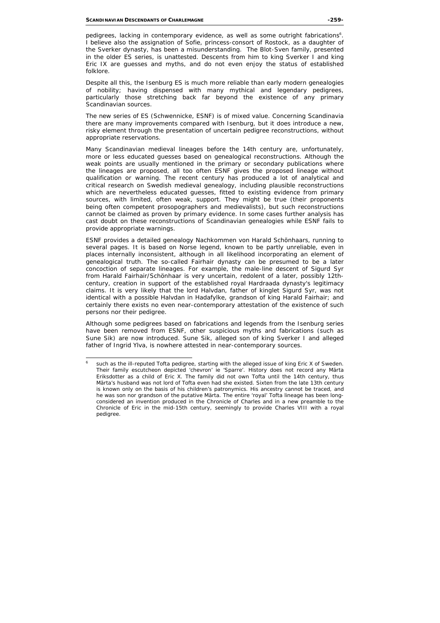pedigrees, lacking in contemporary evidence, as well as some outright fabrications<sup>6</sup>. I believe also the assignation of Sofie, princess-consort of Rostock, as a daughter of the Sverker dynasty, has been a misunderstanding. The Blot-Sven family, presented in the older ES series, is unattested. Descents from him to king Sverker I and king Eric IX are guesses and myths, and do not even enjoy the status of established folklore.

Despite all this, the Isenburg ES is much more reliable than early modern genealogies of nobility; having dispensed with many mythical and legendary pedigrees, particularly those stretching back far beyond the existence of any primary Scandinavian sources.

The new series of ES (Schwennicke, ESNF) is of mixed value. Concerning Scandinavia there are many improvements compared with Isenburg, but it does introduce a new, risky element through the presentation of uncertain pedigree reconstructions, without appropriate reservations.

Many Scandinavian medieval lineages before the 14th century are, unfortunately, more or less educated guesses based on genealogical reconstructions. Although the weak points are usually mentioned in the primary or secondary publications where the lineages are proposed, all too often ESNF gives the proposed lineage without qualification or warning. The recent century has produced a lot of analytical and critical research on Swedish medieval genealogy, including plausible reconstructions which are nevertheless educated guesses, fitted to existing evidence from primary sources, with limited, often weak, support. They might be true (their proponents being often competent prosopographers and medievalists), but such reconstructions cannot be claimed as proven by primary evidence. In some cases further analysis has cast doubt on these reconstructions of Scandinavian genealogies while ESNF fails to provide appropriate warnings.

ESNF provides a detailed genealogy *Nachkommen von Harald Schönhaars*, running to several pages. It is based on Norse legend, known to be partly unreliable, even in places internally inconsistent, although in all likelihood incorporating an element of genealogical truth. The so-called Fairhair dynasty can be presumed to be a later concoction of separate lineages. For example, the male-line descent of Sigurd Syr from Harald Fairhair/Schönhaar is very uncertain, redolent of a later, possibly 12thcentury, creation in support of the established royal Hardraada dynasty's legitimacy claims. It is very likely that the lord Halvdan, father of kinglet Sigurd Syr, was not identical with a possible Halvdan in Hadafylke, grandson of king Harald Fairhair; and certainly there exists no even near-contemporary attestation of the existence of such persons nor their pedigree.

Although some pedigrees based on fabrications and legends from the Isenburg series have been removed from ESNF, other suspicious myths and fabrications (such as Sune Sik) are now introduced. Sune Sik, alleged son of king Sverker I and alleged father of Ingrid Ylva, is nowhere attested in near-contemporary sources.

j 6 such as the ill-reputed Tofta pedigree, starting with the alleged issue of king Eric X of Sweden. Their family escutcheon depicted 'chevron' *ie* 'Sparre'. History does not record any Märta Eriksdotter as a child of Eric X. The family did not own Tofta until the 14th century, thus Märta's husband was not lord of Tofta even had she existed. Sixten from the late 13th century is known only on the basis of his children's patronymics. His ancestry cannot be traced, and he was son nor grandson of the putative Märta. The entire 'royal' Tofta lineage has been longconsidered an invention produced in the *Chronicle of Charles* and in a new preamble to the *Chronicle of Eric* in the mid-15th century, seemingly to provide Charles VIII with a royal pedigree.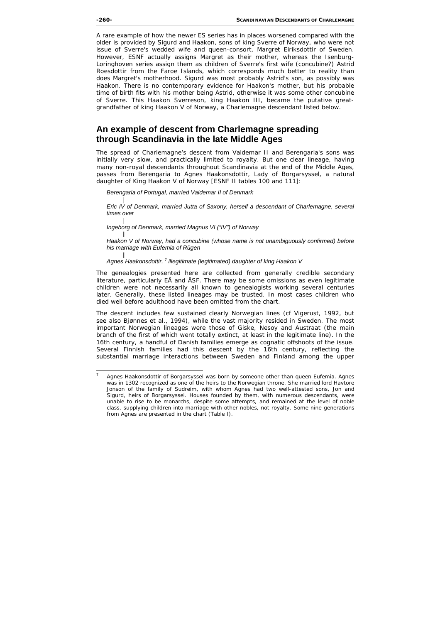A rare example of how the newer ES series has in places worsened compared with the older is provided by Sigurd and Haakon, sons of king Sverre of Norway, who were not issue of Sverre's wedded wife and queen-consort, Margret Eiriksdottir of Sweden. However, ESNF actually assigns Margret as their mother, whereas the Isenburg-Loringhoven series assign them as children of Sverre's first wife (concubine?) Astrid Roesdottir from the Faroe Islands, which corresponds much better to reality than does Margret's motherhood. Sigurd was most probably Astrid's son, as possibly was Haakon. There is no contemporary evidence for Haakon's mother, but his probable time of birth fits with his mother being Astrid, otherwise it was some other concubine of Sverre. This Haakon Sverreson, king Haakon III, became the putative greatgrandfather of king Haakon V of Norway, a Charlemagne descendant listed below.

# **An example of descent from Charlemagne spreading through Scandinavia in the late Middle Ages**

The spread of Charlemagne's descent from Valdemar II and Berengaria's sons was initially very slow, and practically limited to royalty. But one clear lineage, having many non-royal descendants throughout Scandinavia at the end of the Middle Ages, passes from Berengaria to Agnes Haakonsdottir, Lady of Borgarsyssel, a natural daughter of King Haakon V of Norway [ESNF II tables 100 and 111]:

*Berengaria of Portugal, married Valdemar II of Denmark* 

| *Eric IV of Denmark, married Jutta of Saxony, herself a descendant of Charlemagne, several times over* 

| *Ingeborg of Denmark, married Magnus VI ("IV") of Norway* 

*| Haakon V of Norway, had a concubine (whose name is not unambiguously confirmed) before his marriage with Eufemia of Rügen* 

*|* Agnes Haakonsdottir, <sup>7</sup> illegitimate (legitimated) daughter of king Haakon V

The genealogies presented here are collected from generally credible secondary literature, particularly EÄ and ÄSF. There may be some omissions as even legitimate children were not necessarily all known to genealogists working several centuries later. Generally, these listed lineages may be trusted. In most cases children who died well before adulthood have been omitted from the chart.

The descent includes few sustained clearly Norwegian lines (*cf* Vigerust, 1992, but see also Bjønnes *et al*., 1994), while the vast majority resided in Sweden. The most important Norwegian lineages were those of Giske, Nesoy and Austraat (the main branch of the first of which went totally extinct, at least in the legitimate line). In the 16th century, a handful of Danish families emerge as cognatic offshoots of the issue. Several Finnish families had this descent by the 16th century, reflecting the substantial marriage interactions between Sweden and Finland among the upper

<sup>—&</sup>lt;br>7 Agnes Haakonsdottir of Borgarsyssel was born by someone other than queen Eufemia. Agnes was in 1302 recognized as one of the heirs to the Norwegian throne. She married lord Havtore Jonson of the family of Sudreim, with whom Agnes had two well-attested sons, Jon and Sigurd, heirs of Borgarsyssel. Houses founded by them, with numerous descendants, were unable to rise to be monarchs, despite some attempts, and remained at the level of noble class, supplying children into marriage with other nobles, not royalty. Some nine generations from Agnes are presented in the chart (Table I).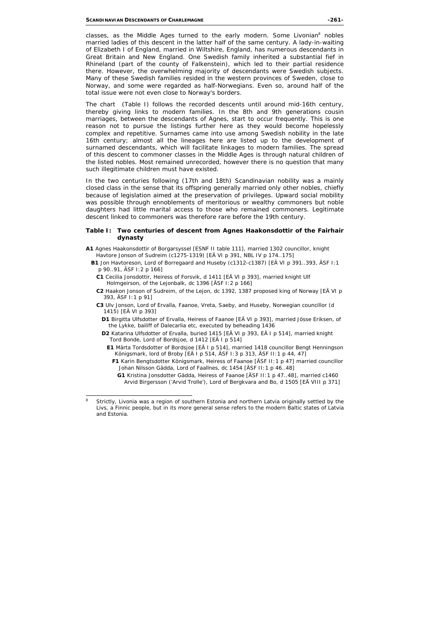classes, as the Middle Ages turned to the early modern. Some Livonian<sup>8</sup> nobles married ladies of this descent in the latter half of the same century. A lady-in-waiting of Elizabeth I of England, married in Wiltshire, England, has numerous descendants in Great Britain and New England. One Swedish family inherited a substantial fief in Rhineland (part of the county of Falkenstein), which led to their partial residence there. However, the overwhelming majority of descendants were Swedish subjects. Many of these Swedish families resided in the western provinces of Sweden, close to Norway, and some were regarded as half-Norwegians. Even so, around half of the total issue were not even close to Norway's borders.

The chart (Table I) follows the recorded descents until around mid-16th century, thereby giving links to modern families. In the 8th and 9th generations cousin marriages, between the descendants of Agnes, start to occur frequently. This is one reason not to pursue the listings further here as they would become hopelessly complex and repetitive. Surnames came into use among Swedish nobility in the late 16th century; almost all the lineages here are listed up to the development of surnamed descendants, which will facilitate linkages to modern families. The spread of this descent to commoner classes in the Middle Ages is through natural children of the listed nobles. Most remained unrecorded, however there is no question that many such illegitimate children must have existed.

In the two centuries following (17th and 18th) Scandinavian nobility was a mainly closed class in the sense that its offspring generally married only other nobles, chiefly because of legislation aimed at the preservation of privileges. Upward social mobility was possible through ennoblements of meritorious or wealthy commoners but noble daughters had little marital access to those who remained commoners. Legitimate descent linked to commoners was therefore rare before the 19th century.

#### **Table I: Two centuries of descent from Agnes Haakonsdottir of the Fairhair dynasty**

- **A1** Agnes Haakonsdottir of Borgarsyssel [ESNF II table 111], married 1302 councillor, knight Havtore Jonson of Sudreim (c1275-1319) [EÄ VI p 391, NBL IV p 174..175]
	- **B1** Jon Havtoreson, Lord of Borregaard and Huseby (c1312-c1387) [EÄ VI p 391..393, ÄSF I:1 p 90..91, ÄSF I:2 p 166]
		- **C1** Cecilia Jonsdottir, Heiress of Forsvik, d 1411 [EÄ VI p 393], married knight Ulf Holmgeirson, of the Lejonbalk, dc 1396 [ÄSF I:2 p 166]
		- **C2** Haakon Jonson of Sudreim, of the Lejon, dc 1392, 1387 proposed king of Norway [EÄ VI p 393, ÄSF I:1 p 91]
		- **C3** Ulv Jonson, Lord of Ervalla, Faanoe, Vreta, Saeby, and Huseby, Norwegian councillor (d 1415) [EÄ VI p 393]
			- **D1** Birgitta Ulfsdotter of Ervalla, Heiress of Faanoe [EÄ VI p 393], married Jösse Eriksen, of the Lykke, bailiff of Dalecarlia etc, executed by beheading 1436
			- **D2** Katarina Ulfsdotter of Ervalla, buried 1415 [EÄ VI p 393, EÄ I p 514], married knight Tord Bonde, Lord of Bordsjoe, d 1412 [EÄ I p 514]
				- **E1** Märta Tordsdotter of Bordsjoe [EÄ I p 514], married 1418 councillor Bengt Henningson Königsmark, lord of Broby [EÄ I p 514, ÄSF I:3 p 313, ÄSF II:1 p 44, 47]
					- **F1** Karin Bengtsdotter Königsmark, Heiress of Faanoe [ÄSF II:1 p 47] married councillor Johan Nilsson Gädda, Lord of Faallnes, dc 1454 [ÄSF II:1 p 46..48]
						- **G1** Kristina Jonsdotter Gädda, Heiress of Faanoe [ÄSF II:1 p 47..48], married c1460 Arvid Birgersson ('Arvid Trolle'), Lord of Bergkvara and Bo, d 1505 [EÄ VIII p 371]

 8 Strictly, Livonia was a region of southern Estonia and northern Latvia originally settled by the Livs, a Finnic people, but in its more general sense refers to the modern Baltic states of Latvia and Estonia.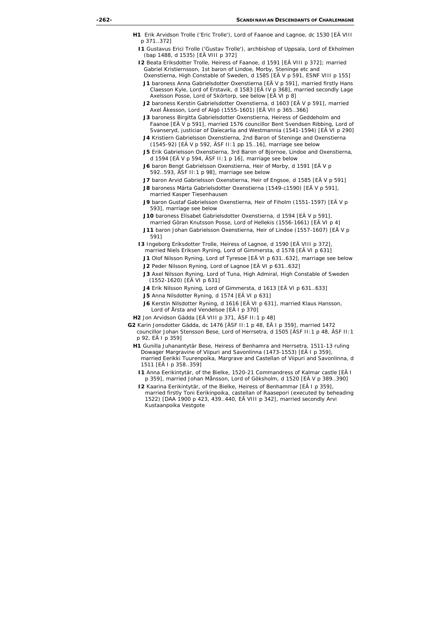- **H1** Erik Arvidson Trolle ('Eric Trolle'), Lord of Faanoe and Lagnoe, dc 1530 [EÄ VIII p 371..372]
	- **I1** Gustavus Erici Trolle ('Gustav Trolle'), archbishop of Uppsala, Lord of Ekholmen (bap 1488, d 1535) [EÄ VIII p 372]
	- **I2** Beata Eriksdotter Trolle, Heiress of Faanoe, d 1591 [EÄ VIII p 372]; married Gabriel Kristiernsson, 1st baron of Lindoe, Morby, Steninge etc and Oxenstierna, High Constable of Sweden, d 1585 [EÄ V p 591, ESNF VIII p 155]
		- **J1** baroness Anna Gabrielsdotter Oxenstierna [EÄ V p 591], married firstly Hans Claesson Kyle, Lord of Erstavik, d 1583 [EÄ IV p 368], married secondly Lage Axelsson Posse, Lord of Skörtorp, see below [EÄ VI p 8]
		- **J2** baroness Kerstin Gabrielsdotter Oxenstierna, d 1603 [EÄ V p 591], married Axel Åkesson, Lord of Algö (1555-1601) [EÄ VII p 365..366]
		- **J3** baroness Birgitta Gabrielsdotter Oxenstierna, Heiress of Geddeholm and Faanoe [EÄ V p 591], married 1576 councillor Bent Svendsen Ribbing, Lord of Svanseryd, justiciar of Dalecarlia and Westmannia (1541-1594) [EÄ VI p 290]
		- **J4** Kristiern Gabrielsson Oxenstierna, 2nd Baron of Steninge and Oxenstierna (1545-92) [EÄ V p 592, ÄSF II:1 pp 15..16], marriage see below
		- **J5** Erik Gabrielsson Oxenstierna, 3rd Baron of Bjornoe, Lindoe and Oxenstierna, d 1594 [EÄ V p 594, ÄSF II:1 p 16], marriage see below
		- **J6** baron Bengt Gabrielsson Oxenstierna, Heir of Morby, d 1591 [EÄ V p 592..593, ÄSF II:1 p 98], marriage see below
		- **J7** baron Arvid Gabrielsson Oxenstierna, Heir of Engsoe, d 1585 [EÄ V p 591]
		- **J8** baroness Märta Gabrielsdotter Oxenstierna (1549-c1590) [EÄ V p 591], married Kasper Tiesenhausen
		- **J9** baron Gustaf Gabrielsson Oxenstierna, Heir of Fiholm (1551-1597) [EÄ V p 593], marriage see below
		- **J10** baroness Elisabet Gabrielsdotter Oxenstierna, d 1594 [EÄ V p 591], married Göran Knutsson Posse, Lord of Hellekis (1556-1661) [EÄ VI p 4]
		- **J11** baron Johan Gabrielsson Oxenstierna, Heir of Lindoe (1557-1607) [EÄ V p 591]
	- **I3** Ingeborg Eriksdotter Trolle, Heiress of Lagnoe, d 1590 [EÄ VIII p 372], married Niels Eriksen Ryning, Lord of Gimmersta, d 1578 [EÄ VI p 631]
		- **J1** Olof Nilsson Ryning, Lord of Tyresoe [EÄ VI p 631..632], marriage see below
		- **J2** Peder Nilsson Ryning, Lord of Lagnoe [EÄ VI p 631..632]
		- **J3** Axel Nilsson Ryning, Lord of Tuna, High Admiral, High Constable of Sweden (1552-1620) [EÄ VI p 631]
		- **J4** Erik Nilsson Ryning, Lord of Gimmersta, d 1613 [EÄ VI p 631..633]
		- **J5** Anna Nilsdotter Ryning, d 1574 [EÄ VI p 631]
		- **J6** Kerstin Nilsdotter Ryning, d 1616 [EÄ VI p 631], married Klaus Hansson, Lord of Årsta and Vendelsoe [EÄ I p 370]
- **H2** Jon Arvidson Gädda [EÄ VIII p 371, ÄSF II:1 p 48]
- **G2** Karin Jonsdotter Gädda, dc 1476 [ÄSF II:1 p 48, EÄ I p 359], married 1472 councillor Johan Stensson Bese, Lord of Herrsetra, d 1505 [ÄSF II:1 p 48, ÄSF II:1 p 92, EÄ I p 359]
	- **H1** Gunilla Juhanantytär Bese, Heiress of Benhamra and Herrsetra, 1511-13 ruling Dowager Margravine of Viipuri and Savonlinna (1473-1553) [EÄ I p 359], married Eerikki Tuurenpoika, Margrave and Castellan of Viipuri and Savonlinna, d 1511 [EÄ I p 358..359]
		- **I1** Anna Eerikintytär, of the Bielke, 1520-21 Commandress of Kalmar castle [EÄ I p 359], married Johan Månsson, Lord of Göksholm, d 1520 [EÄ V p 389..390]
		- **I2** Kaarina Eerikintytär, of the Bielke, Heiress of Benhammar [EÄ I p 359], married firstly Toni Eerikinpoika, castellan of Raasepori (executed by beheading 1522) [DAA 1900 p 423, 439..440, EÄ VIII p 342], married secondly Arvi Kustaanpoika Vestgote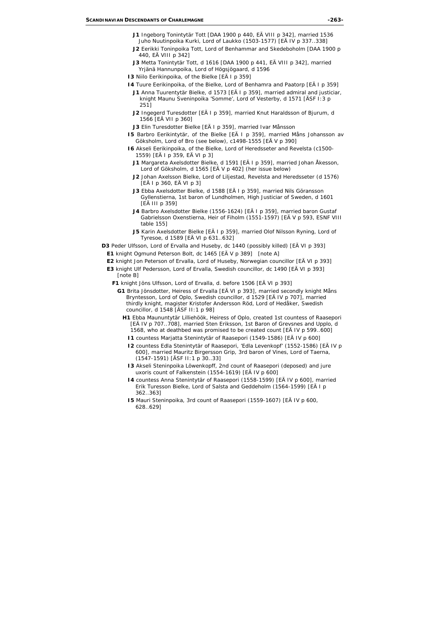- **J1** Ingeborg Tonintytär Tott [DAA 1900 p 440, EÄ VIII p 342], married 1536 Juho Nuutinpoika Kurki, Lord of Laukko (1503-1577) [EÄ IV p 337..338]
- **J2** Eerikki Toninpoika Tott, Lord of Benhammar and Skedeboholm [DAA 1900 p 440, EÄ VIII p 342]
- **J3** Metta Tonintytär Tott, d 1616 [DAA 1900 p 441, EÄ VIII p 342], married Yrjänä Hannunpoika, Lord of Högsjögaard, d 1596
- **I3** Niilo Eerikinpoika, of the Bielke [EÄ I p 359]
- **I4** Tuure Eerikinpoika, of the Bielke, Lord of Benhamra and Paatorp [EÄ I p 359]
	- **J1** Anna Tuurentytär Bielke, d 1573 [EÄ I p 359], married admiral and justiciar, knight Maunu Sveninpoika 'Somme', Lord of Vesterby, d 1571 [ÄSF I:3 p 251]
	- **J2** Ingegerd Turesdotter [EÄ I p 359], married Knut Haraldsson of Bjurum, d 1566 [EÄ VII p 360]
	- **J3** Elin Turesdotter Bielke [EÄ I p 359], married Ivar Månsson
- **I5** Barbro Eerikintytär, of the Bielke [EÄ I p 359], married Måns Johansson av Göksholm, Lord of Bro (see below), c1498-1555 [EÄ V p 390]
- **I6** Akseli Eerikinpoika, of the Bielke, Lord of Heredsseter and Revelsta (c1500- 1559) [EÄ I p 359, EÄ VI p 3]
	- **J1** Margareta Axelsdotter Bielke, d 1591 [EÄ I p 359], married Johan Åkesson, Lord of Göksholm, d 1565 [EÄ V p 402] (her issue below)
	- **J2** Johan Axelsson Bielke, Lord of Liljestad, Revelsta and Heredsseter (d 1576) [EÄ I p 360, EÄ VI p 3]
	- **J3** Ebba Axelsdotter Bielke, d 1588 [EÄ I p 359], married Nils Göransson Gyllenstierna, 1st baron of Lundholmen, High Justiciar of Sweden, d 1601 [EÄ III p 359]
	- **J4** Barbro Axelsdotter Bielke (1556-1624) [EÄ I p 359], married baron Gustaf Gabrielsson Oxenstierna, Heir of Fiholm (1551-1597) [EÄ V p 593, ESNF VIII table 155]
	- **J5** Karin Axelsdotter Bielke [EÄ I p 359], married Olof Nilsson Ryning, Lord of Tyresoe, d 1589 [EÄ VI p 631..632]
- **D3** Peder Ulfsson, Lord of Ervalla and Huseby, dc 1440 (possibly killed) [EÄ VI p 393]
	- **E1** knight Ogmund Peterson Bolt, dc 1465 [EÄ V p 389] *[note A]*
	- **E2** knight Jon Peterson of Ervalla, Lord of Huseby, Norwegian councillor [EÄ VI p 393]
	- **E3** knight Ulf Pedersson, Lord of Ervalla, Swedish councillor, dc 1490 [EÄ VI p 393] *[note B]*
		- **F1** knight Jöns Ulfsson, Lord of Ervalla, d. before 1506 [EÄ VI p 393]
			- **G1** Brita Jönsdotter, Heiress of Ervalla [EÄ VI p 393], married secondly knight Måns Bryntesson, Lord of Oplo, Swedish councillor, d 1529 [EÄ IV p 707], married thirdly knight, magister Kristofer Andersson Röd, Lord of Hedåker, Swedish councillor, d 1548 [ÄSF II:1 p 98]
				- **H1** Ebba Maununtytär Lilliehöök, Heiress of Oplo, created 1st countess of Raasepori [EÄ IV p 707..708], married Sten Eriksson, 1st Baron of Grevsnes and Upplo, d 1568, who at deathbed was promised to be created count [EÄ IV p 599..600]
					- **I1** countess Marjatta Stenintytär of Raasepori (1549-1586) [EÄ IV p 600]
					- **I2** countess Edla Stenintytär of Raasepori, 'Edla Levenkopf' (1552-1586) [EÄ IV p 600], married Mauritz Birgersson Grip, 3rd baron of Vines, Lord of Taerna, (1547-1591) [ÄSF II:1 p 30..33]
					- **I3** Akseli Steninpoika Löwenkopff, 2nd count of Raasepori (deposed) and *jure uxoris* count of Falkenstein (1554-1619) [EÄ IV p 600]
					- **I4** countess Anna Stenintytär of Raasepori (1558-1599) [EÄ IV p 600], married Erik Turesson Bielke, Lord of Salsta and Geddeholm (1564-1599) [EÄ I p 362..363]
					- **I5** Mauri Steninpoika, 3rd count of Raasepori (1559-1607) [EÄ IV p 600, 628..629]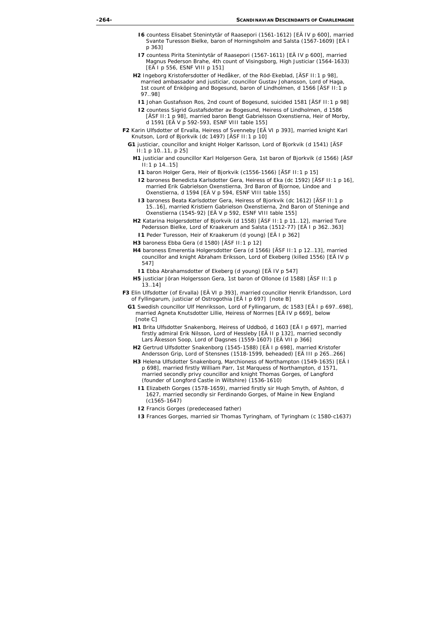- **I6** countess Elisabet Stenintytär of Raasepori (1561-1612) [EÄ IV p 600], married Svante Turesson Bielke, baron of Horningsholm and Salsta (1567-1609) [EÄ I p 363]
- **I7** countess Pirita Stenintytär of Raasepori (1567-1611) [EÄ IV p 600], married Magnus Pederson Brahe, 4th count of Visingsborg, High Justiciar (1564-1633) [EÄ I p 556, ESNF VIII p 151]
- **H2** Ingeborg Kristofersdotter of Hedåker, of the Röd-Ekeblad, [ÄSF II:1 p 98], married ambassador and justiciar, councillor Gustav Johansson, Lord of Haga, 1st count of Enköping and Bogesund, baron of Lindholmen, d 1566 [ÄSF II:1 p 97..98]
	- **I1** Johan Gustafsson Ros, 2nd count of Bogesund, suicided 1581 [ÄSF II:1 p 98]
	- **I2** countess Sigrid Gustafsdotter av Bogesund, Heiress of Lindholmen, d 1586 [ÄSF II:1 p 98], married baron Bengt Gabrielsson Oxenstierna, Heir of Morby, d 1591 [EÄ V p 592-593, ESNF VIII table 155]
- **F2** Karin Ulfsdotter of Ervalla, Heiress of Svenneby [EÄ VI p 393], married knight Karl Knutson, Lord of Bjorkvik (dc 1497) [ÄSF II:1 p 10]
	- **G1** justiciar, councillor and knight Holger Karlsson, Lord of Bjorkvik (d 1541) [ÄSF II:1 p 10..11, p 25]
		- **H1** justiciar and councillor Karl Holgerson Gera, 1st baron of Bjorkvik (d 1566) [ÄSF II:1 p 14..15]
			- **I1** baron Holger Gera, Heir of Bjorkvik (c1556-1566) [ÄSF II:1 p 15]
			- **I2** baroness Benedicta Karlsdotter Gera, Heiress of Eka (dc 1592) [ÄSF II:1 p 16], married Erik Gabrielson Oxenstierna, 3rd Baron of Bjornoe, Lindoe and Oxenstierna, d 1594 [EÄ V p 594, ESNF VIII table 155]
			- **I3** baroness Beata Karlsdotter Gera, Heiress of Bjorkvik (dc 1612) [ÄSF II:1 p 15..16], married Kristiern Gabrielson Oxenstierna, 2nd Baron of Steninge and Oxenstierna (1545-92) [EÄ V p 592, ESNF VIII table 155]
		- **H2** Katarina Holgersdotter of Bjorkvik (d 1558) [ÄSF II:1 p 11..12], married Ture Pedersson Bielke, Lord of Kraakerum and Salsta (1512-77) [EÄ I p 362..363]
			- **I1** Peder Turesson, Heir of Kraakerum (d young) [EÄ I p 362]
		- **H3** baroness Ebba Gera (d 1580) [ÄSF II:1 p 12]
		- **H4** baroness Emerentia Holgersdotter Gera (d 1566) [ÄSF II:1 p 12..13], married councillor and knight Abraham Eriksson, Lord of Ekeberg (killed 1556) [EÄ IV p 547]
			- **I1** Ebba Abrahamsdotter of Ekeberg (d young) [EÄ IV p 547]
		- **H5** justiciar Jöran Holgersson Gera, 1st baron of Ollonoe (d 1588) [ÄSF II:1 p 13..14]
- **F3** Elin Ulfsdotter (of Ervalla) [EÄ VI p 393], married councillor Henrik Erlandsson, Lord of Fyllingarum, justiciar of Ostrogothia [EÄ I p 697] *[note B]*
	- **G1** Swedish councillor Ulf Henriksson, Lord of Fyllingarum, dc 1583 [EÄ I p 697..698], married Agneta Knutsdotter Lillie, Heiress of Norrnes [EÄ IV p 669], below *[note C]*
		- **H1** Brita Ulfsdotter Snakenborg, Heiress of Uddboö, d 1603 [EÄ I p 697], married firstly admiral Erik Nilsson, Lord of Hessleby [EÄ II p 132], married secondly Lars Åkesson Soop, Lord of Dagsnes (1559-1607) [EÄ VII p 366]
		- **H2** Gertrud Ulfsdotter Snakenborg (1545-1588) [EÄ I p 698], married Kristofer Andersson Grip, Lord of Stensnes (1518-1599, beheaded) [EÄ III p 265..266]
		- **H3** Helena Ulfsdotter Snakenborg, Marchioness of Northampton (1549-1635) [EÄ I p 698], married firstly William Parr, 1st Marquess of Northampton, d 1571, married secondly privy councillor and knight Thomas Gorges, of Langford (founder of Longford Castle in Wiltshire) (1536-1610)
			- **I1** Elizabeth Gorges (1578-1659), married firstly sir Hugh Smyth, of Ashton, d 1627, married secondly sir Ferdinando Gorges, of Maine in New England (c1565-1647)
			- **I2** Francis Gorges (predeceased father)
			- **I3** Frances Gorges, married sir Thomas Tyringham, of Tyringham (c 1580-c1637)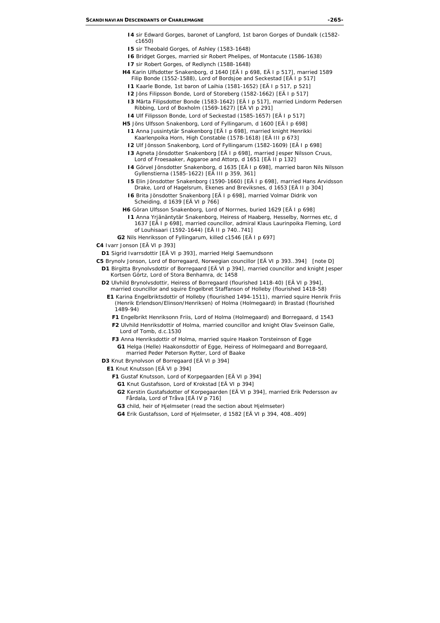- **I4** sir Edward Gorges, baronet of Langford, 1st baron Gorges of Dundalk (c1582 c1650)
- **I5** sir Theobald Gorges, of Ashley (1583-1648)
- **I6** Bridget Gorges, married sir Robert Phelipes, of Montacute (1586-1638)
- **I7** sir Robert Gorges, of Redlynch (1588-1648)
- **H4** Karin Ulfsdotter Snakenborg, d 1640 [EÄ I p 698, EÄ I p 517], married 1589 Filip Bonde (1552-1588), Lord of Bordsjoe and Seckestad [EÄ I p 517]
	- **I1** Kaarle Bonde, 1st baron of Laihia (1581-1652) [EÄ I p 517, p 521]
	- **I2** Jöns Filipsson Bonde, Lord of Storeberg (1582-1662) [EÄ I p 517]
	- **I3** Märta Filipsdotter Bonde (1583-1642) [EÄ I p 517], married Lindorm Pedersen Ribbing, Lord of Boxholm (1569-1627) [EÄ VI p 291]
	- **I4** Ulf Filipsson Bonde, Lord of Seckestad (1585-1657) [EÄ I p 517]
- **H5** Jöns Ulfsson Snakenborg, Lord of Fyllingarum, d 1600 [EÄ I p 698]
	- **I1** Anna Jussintytär Snakenborg [EÄ I p 698], married knight Henrikki Kaarlenpoika Horn, High Constable (1578-1618) [EÄ III p 673]
	- **I2** Ulf Jönsson Snakenborg, Lord of Fyllingarum (1582-1609) [EÄ I p 698]
	- **I3** Agneta Jönsdotter Snakenborg [EÄ I p 698], married Jesper Nilsson Cruus, Lord of Froesaaker, Aggaroe and Attorp, d 1651 [EÄ II p 132]
	- **I4** Görvel Jönsdotter Snakenborg, d 1635 [EÄ I p 698], married baron Nils Nilsson Gyllenstierna (1585-1622) [EÄ III p 359, 361]
	- **I5** Elin Jönsdotter Snakenborg (1590-1660) [EÄ I p 698], married Hans Arvidsson Drake, Lord of Hagelsrum, Ekenes and Breviksnes, d 1653 [EÄ II p 304]
	- **I6** Brita Jönsdotter Snakenborg [EÄ I p 698], married Volmar Didrik von Scheiding, d 1639 [EÄ VI p 766]
- **H6** Göran Ulfsson Snakenborg, Lord of Norrnes, buried 1629 [EÄ I p 698]
	- **I1** Anna Yrjänäntytär Snakenborg, Heiress of Haaberg, Hesselby, Norrnes etc, d 1637 [EÄ I p 698], married councillor, admiral Klaus Laurinpoika Fleming, Lord of Louhisaari (1592-1644) [EÄ II p 740..741]
- **G2** Nils Henriksson of Fyllingarum, killed c1546 [EÄ I p 697]
- **C4** Ivarr Jonson [EÄ VI p 393]
	- **D1** Sigrid Ivarrsdottir [EÄ VI p 393], married Helgi Saemundsonn
- **C5** Brynolv Jonson, Lord of Borregaard, Norwegian councillor [EÄ VI p 393..394] *[note D]*
- **D1** Birgitta Brynolvsdottir of Borregaard [EÄ VI p 394], married councillor and knight Jesper Kortsen Görtz, Lord of Stora Benhamra, dc 1458
- **D2** Ulvhild Brynolvsdottir, Heiress of Borregaard (flourished 1418-40) [EÄ VI p 394], married councillor and squire Engelbret Staffanson of Holleby (flourished 1418-58)
	- **E1** Karina Engelbriktsdottir of Holleby (flourished 1494-1511), married squire Henrik Friis (Henrik Erlendson/Elinson/Henriksen) of Holma (Holmegaard) in Brastad (flourished 1489-94)
		- **F1** Engelbrikt Henriksonn Friis, Lord of Holma (Holmegaard) and Borregaard, d 1543
		- **F2** Ulvhild Henriksdottir of Holma, married councillor and knight Olav Sveinson Galle, Lord of Tomb, d.c.1530
		- **F3** Anna Henriksdottir of Holma, married squire Haakon Torsteinson of Egge
			- **G1** Helga (Helle) Haakonsdottir of Egge, Heiress of Holmegaard and Borregaard, married Peder Peterson Rytter, Lord of Baake
- **D3** Knut Brynolvson of Borregaard [EÄ VI p 394]
	- **E1** Knut Knutsson [EÄ VI p 394]
		- **F1** Gustaf Knutsson, Lord of Korpegaarden [EÄ VI p 394]
			- **G1** Knut Gustafsson, Lord of Krokstad [EÄ VI p 394]
			- **G2** Kerstin Gustafsdotter of Korpegaarden [EÄ VI p 394], married Erik Pedersson av Fårdala, Lord of Tråva [EÄ IV p 716]
			- **G3** child, heir of Hjelmseter (read the section about Hjelmseter)
			- **G4** Erik Gustafsson, Lord of Hjelmseter, d 1582 [EÄ VI p 394, 408..409]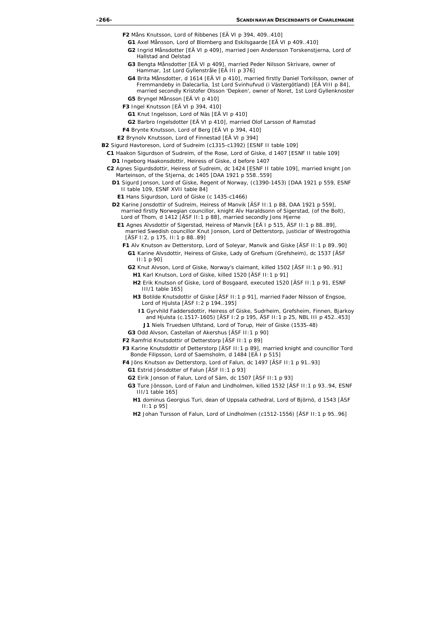- **F2** Måns Knutsson, Lord of Ribbenes [EÄ VI p 394, 409..410]
	- **G1** Axel Månsson, Lord of Blomberg and Eskilsgaarde [EÄ VI p 409..410]
	- **G2** Ingrid Månsdotter [EÄ VI p 409], married Joen Andersson Torskenstjerna, Lord of Hallstad and Oelstad
	- **G3** Bengta Månsdotter [EÄ VI p 409], married Peder Nilsson Skrivare, owner of Hammar, 1st Lord Gyllenstråle [EÄ III p 376]
	- **G4** Brita Månsdotter, d 1614 [EÄ VI p 410], married firstly Daniel Torkilsson, owner of Fremmandeby in Dalecarlia, 1st Lord Svinhufvud (i Västergötland) [EÄ VIII p 84], married secondly Kristofer Olsson 'Depken', owner of Noret, 1st Lord Gyllenknoster
- **G5** Bryngel Månsson [EÄ VI p 410]
- **F3** Ingel Knutsson [EÄ VI p 394, 410]
	- **G1** Knut Ingelsson, Lord of Näs [EÄ VI p 410]
	- **G2** Barbro Ingelsdotter [EÄ VI p 410], married Olof Larsson of Ramstad
- **F4** Brynte Knutsson, Lord of Berg [EÄ VI p 394, 410]
- **E2** Brynolv Knutsson, Lord of Finnestad [EÄ VI p 394]
- **B2** Sigurd Havtoreson, Lord of Sudreim (c1315-c1392) [ESNF II table 109]
	- **C1** Haakon Sigurdson of Sudreim, of the Rose, Lord of Giske, d 1407 [ESNF II table 109]
		- **D1** Ingeborg Haakonsdottir, Heiress of Giske, d before 1407
	- **C2** Agnes Sigurdsdottir, Heiress of Sudreim, dc 1424 [ESNF II table 109], married knight Jon Marteinson, of the Stjerna, dc 1405 [DAA 1921 p 558..559]
		- **D1** Sigurd Jonson, Lord of Giske, Regent of Norway, (c1390-1453) [DAA 1921 p 559, ESNF II table 109, ESNF XVII table 84]
			- **E1** Hans Sigurdson, Lord of Giske (c 1435-c1466)
		- **D2** Karine Jonsdottir of Sudreim, Heiress of Manvik [ÄSF II:1 p 88, DAA 1921 p 559], married firstly Norwegian councillor, knight Alv Haraldsonn of Sigerstad, (of the Bolt), Lord of Thom, d 1412 [ÄSF II:1 p 88], married secondly Jons Hjerne
			- **E1** Agnes Alvsdottir of Sigerstad, Heiress of Manvik [EÄ I p 515, ÄSF II:1 p 88..89], married Swedish councillor Knut Jonson, Lord of Detterstorp, justiciar of Westrogothia [ÄSF I:2, p 175, II:1 p 88..89]
				- **F1** Alv Knutson av Detterstorp, Lord of Soleyar, Manvik and Giske [ÄSF II:1 p 89..90] **G1** Karine Alvsdottir, Heiress of Giske, Lady of Grefsum (Grefsheim), dc 1537 [ÄSF II:1 p 90]
					- **G2** Knut Alvson, Lord of Giske, Norway's claimant, killed 1502 [ÄSF II:1 p 90..91]
						- **H1** Karl Knutson, Lord of Giske, killed 1520 [ÄSF II:1 p 91]
						- **H2** Erik Knutson of Giske, Lord of Bosgaard, executed 1520 [ÄSF II:1 p 91, ESNF III/1 table 165]
						- **H3** Botilde Knutsdottir of Giske [ÄSF II:1 p 91], married Fader Nilsson of Engsoe, Lord of Hjulsta [ÄSF I:2 p 194..195]
							- **I1** Gyrvhild Faddersdottir, Heiress of Giske, Sudrheim, Grefsheim, Finnen, Bjarkoy and Hjulsta (c.1517-1605) [ÄSF I:2 p 195, ÄSF II:1 p 25, NBL III p 452..453] **J1** Niels Truedsen Ulfstand, Lord of Torup, Heir of Giske (1535-48)
					- **G3** Odd Alvson, Castellan of Akershus [ÄSF II:1 p 90]
				- **F2** Ramfrid Knutsdottir of Detterstorp [ÄSF II:1 p 89]
				- **F3** Karine Knutsdottir of Detterstorp [ÄSF II:1 p 89], married knight and councillor Tord Bonde Filipsson, Lord of Saemsholm, d 1484 [EÄ I p 515]
				- **F4** Jöns Knutson av Detterstorp, Lord of Falun, dc 1497 [ÄSF II:1 p 91..93]
					- **G1** Estrid Jönsdotter of Falun [ÄSF II:1 p 93]
					- **G2** Eirik Jonson of Falun, Lord of Säm, dc 1507 [ÄSF II:1 p 93]
					- **G3** Ture Jönsson, Lord of Falun and Lindholmen, killed 1532 [ÄSF II:1 p 93..94, ESNF III/1 table 165]
						- **H1** dominus Georgius Turi, dean of Uppsala cathedral, Lord of Björnö, d 1543 [ÄSF II:1 p 95]
						- **H2** Johan Tursson of Falun, Lord of Lindholmen (c1512-1556) [ÄSF II:1 p 95..96]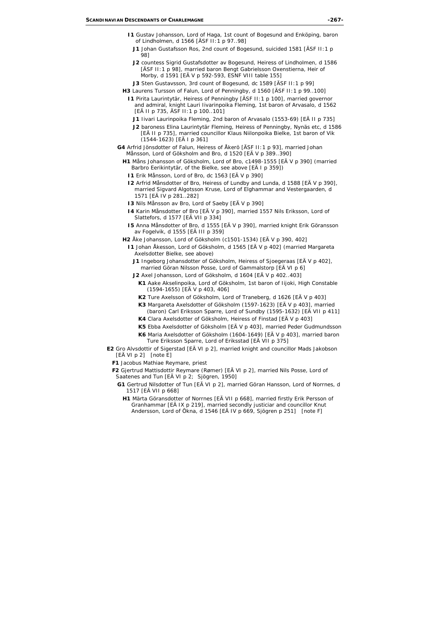- **I1** Gustav Johansson, Lord of Haga, 1st count of Bogesund and Enköping, baron of Lindholmen, d 1566 [ÄSF II:1 p 97..98]
	- **J1** Johan Gustafsson Ros, 2nd count of Bogesund, suicided 1581 [ÄSF II:1 p 98]
	- **J2** countess Sigrid Gustafsdotter av Bogesund, Heiress of Lindholmen, d 1586 [ÄSF II: 1 p 98], married baron Bengt Gabrielsson Oxenstierna, Heir of Morby, d 1591 [EÄ V p 592-593, ESNF VIII table 155]
	- **J3** Sten Gustavsson, 3rd count of Bogesund, dc 1589 [ÄSF II:1 p 99]
- **H3** Laurens Tursson of Falun, Lord of Penningby, d 1560 [ÄSF II:1 p 99..100]
	- **I1** Pirita Laurintytär, Heiress of Penningby [ÄSF II:1 p 100], married governor and admiral, knight Lauri Iivarinpoika Fleming, 1st baron of Arvasalo, d 1562 [EÄ II p 735, ÄSF II:1 p 100..101]
		- **J1** Iivari Laurinpoika Fleming, 2nd baron of Arvasalo (1553-69) [EÄ II p 735]
		- **J2** baroness Elina Laurintytär Fleming, Heiress of Penningby, Nynäs etc, d 1586 [EÄ II p 735], married councillor Klaus Niilonpoika Bielke, 1st baron of Vik (1544-1623) [EÄ I p 361]
- **G4** Arfrid Jönsdotter of Falun, Heiress of Åkerö [ÄSF II:1 p 93], married Johan Månsson, Lord of Göksholm and Bro, d 1520 [EÄ V p 389..390]
	- **H1** Måns Johansson of Göksholm, Lord of Bro, c1498-1555 [EÄ V p 390] (married Barbro Eerikintytär, of the Bielke, see above [EÄ I p 359])
		- **I1** Erik Månsson, Lord of Bro, dc 1563 [EÄ V p 390]
		- **I2** Arfrid Månsdotter of Bro, Heiress of Lundby and Lunda, d 1588 [EÄ V p 390], married Sigvard Algotsson Kruse, Lord of Elghammar and Vestergaarden, d 1571 [EÄ IV p 281..282]
		- **I3** Nils Månsson av Bro, Lord of Saeby [EÄ V p 390]
		- **I4** Karin Månsdotter of Bro [EÄ V p 390], married 1557 Nils Eriksson, Lord of Slattefors, d 1577 [EÄ VII p 334]
		- **I5** Anna Månsdotter of Bro, d 1555 [EÄ V p 390], married knight Erik Göransson av Fogelvik, d 1555 [EÄ III p 359]
	- **H2** Åke Johansson, Lord of Göksholm (c1501-1534) [EÄ V p 390, 402]
		- **I1** Johan Åkesson, Lord of Göksholm, d 1565 [EÄ V p 402] (married Margareta Axelsdotter Bielke, see above)
			- **J1** Ingeborg Johansdotter of Göksholm, Heiress of Sjoegeraas [EÄ V p 402], married Göran Nilsson Posse, Lord of Gammalstorp [EÄ VI p 6]
			- **J2** Axel Johansson, Lord of Göksholm, d 1604 [EÄ V p 402..403]
				- **K1** Aake Akselinpoika, Lord of Göksholm, 1st baron of Iijoki, High Constable (1594-1655) [EÄ V p 403, 406]
				- **K2** Ture Axelsson of Göksholm, Lord of Traneberg, d 1626 [EÄ V p 403]
				- **K3** Margareta Axelsdotter of Göksholm (1597-1623) [EÄ V p 403], married (baron) Carl Eriksson Sparre, Lord of Sundby (1595-1632) [EÄ VII p 411]
				- **K4** Clara Axelsdotter of Göksholm, Heiress of Finstad [EÄ V p 403]
				- **K5** Ebba Axelsdotter of Göksholm [EÄ V p 403], married Peder Gudmundsson
				- **K6** Maria Axelsdotter of Göksholm (1604-1649) [EÄ V p 403], married baron Ture Eriksson Sparre, Lord of Eriksstad [EÄ VII p 375]
- **E2** Gro Alvsdottir of Sigerstad [EÄ VI p 2], married knight and councillor Mads Jakobson [EÄ VI p 2] *[note E]*
	- **F1** Jacobus Mathiae Reymare, priest
	- **F2** Gjertrud Mattisdottir Reymare (Rømer) [EÄ VI p 2], married Nils Posse, Lord of Saatenes and Tun [EÄ VI p 2; Sjögren, 1950]
		- **G1** Gertrud Nilsdotter of Tun [EÄ VI p 2], married Göran Hansson, Lord of Norrnes, d 1517 [EÄ VII p 668]
			- **H1** Märta Göransdotter of Norrnes [EÄ VII p 668], married firstly Erik Persson of Granhammar [EÄ IX p 219], married secondly justiciar and councillor Knut Andersson, Lord of Ökna, d 1546 [EÄ IV p 669, Sjögren p 251] *[note F]*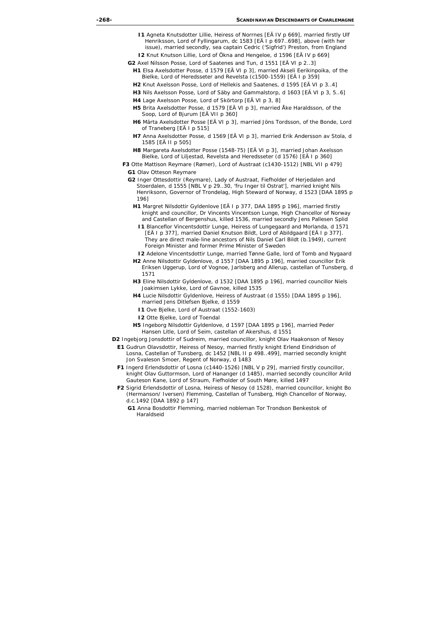- **I1** Agneta Knutsdotter Lillie, Heiress of Norrnes [EÄ IV p 669], married firstly Ulf Henriksson, Lord of Fyllingarum, dc 1583 [EÄ I p 697..698], above (with her issue), married secondly, sea captain Cedric ('Sigfrid') Preston, from England
- **I2** Knut Knutson Lillie, Lord of Ökna and Hengeloe, d 1596 [EÄ IV p 669]
- **G2** Axel Nilsson Posse, Lord of Saatenes and Tun, d 1551 [EÄ VI p 2..3]
	- **H1** Elsa Axelsdotter Posse, d 1579 [EÄ VI p 3], married Akseli Eerikinpoika, of the Bielke, Lord of Heredsseter and Revelsta (c1500-1559) [EÄ I p 359]
	- **H2** Knut Axelsson Posse, Lord of Hellekis and Saatenes, d 1595 [EÄ VI p 3..4]
	- **H3** Nils Axelsson Posse, Lord of Säby and Gammalstorp, d 1603 [EÄ VI p 3, 5..6]
	- **H4** Lage Axelsson Posse, Lord of Skörtorp [EÄ VI p 3, 8]
	- **H5** Brita Axelsdotter Posse, d 1579 [EÄ VI p 3], married Åke Haraldsson, of the Soop, Lord of Bjurum [EÄ VII p 360]
	- **H6** Märta Axelsdotter Posse [EÄ VI p 3], married Jöns Tordsson, of the Bonde, Lord of Traneberg [EÄ I p 515]
	- **H7** Anna Axelsdotter Posse, d 1569 [EÄ VI p 3], married Erik Andersson av Stola, d 1585 [EÄ II p 505]
	- **H8** Margareta Axelsdotter Posse (1548-75) [EÄ VI p 3], married Johan Axelsson Bielke, Lord of Liljestad, Revelsta and Heredsseter (d 1576) [EÄ I p 360]
- **F3** Otte Mattison Reymare (Rømer), Lord of Austraat (c1430-1512) [NBL VII p 479]
	- **G1** Olav Otteson Reymare
	- **G2** Inger Ottesdottir (Reymare), Lady of Austraat, Fiefholder of Herjedalen and Stoerdalen, d 1555 [NBL V p 29..30, 'fru Inger til Ostrat'], married knight Nils Henriksonn, Governor of Trondelag, High Steward of Norway, d 1523 [DAA 1895 p 196]
		- **H1** Margret Nilsdottir Gyldenlove [EÄ I p 377, DAA 1895 p 196], married firstly knight and councillor, Dr Vincents Vincentson Lunge, High Chancellor of Norway and Castellan of Bergenshus, killed 1536, married secondly Jens Pallesen Splid
			- **I1** Blanceflor Vincentsdottir Lunge, Heiress of Lungegaard and Morlanda, d 1571 [EÄ I p 377], married Daniel Knutson Bildt, Lord of Abildgaard [EÄ I p 377]. They are direct male-line ancestors of Nils Daniel Carl Bildt (b.1949), current Foreign Minister and former Prime Minister of Sweden
			- **I2** Adelone Vincentsdottir Lunge, married Tønne Galle, lord of Tomb and Nygaard
		- **H2** Anne Nilsdottir Gyldenlove, d 1557 [DAA 1895 p 196], married councillor Erik Eriksen Uggerup, Lord of Vognoe, Jarlsberg and Allerup, castellan of Tunsberg, d 1571
		- **H3** Eline Nilsdottir Gyldenlove, d 1532 [DAA 1895 p 196], married councillor Niels Joakimsen Lykke, Lord of Gavnoe, killed 1535
		- **H4** Lucie Nilsdottir Gyldenlove, Heiress of Austraat (d 1555) [DAA 1895 p 196], married Jens Ditlefsen Bjelke, d 1559
			- **I1** Ove Bjelke, Lord of Austraat (1552-1603)
			- **I2** Otte Bjelke, Lord of Toendal
		- **H5** Ingeborg Nilsdottir Gyldenlove, d 1597 [DAA 1895 p 196], married Peder Hansen Litle, Lord of Seim, castellan of Akershus, d 1551
- **D2** Ingebjorg Jonsdottir of Sudreim, married councillor, knight Olav Haakonson of Nesoy
	- **E1** Gudrun Olavsdottir, Heiress of Nesoy, married firstly knight Erlend Eindridson of Losna, Castellan of Tunsberg, dc 1452 [NBL II p 498..499], married secondly knight Jon Svaleson Smoer, Regent of Norway, d 1483
	- **F1** Ingerd Erlendsdottir of Losna (c1440-1526) [NBL V p 29], married firstly councillor, knight Olav Guttormson, Lord of Hananger (d 1485), married secondly councillor Arild Gauteson Kane, Lord of Straum, Fiefholder of South Møre, killed 1497
	- **F2** Sigrid Erlendsdottir of Losna, Heiress of Nesoy (d 1528), married councillor, knight Bo (Hermanson/ Iversen) Flemming, Castellan of Tunsberg, High Chancellor of Norway, d.c.1492 [DAA 1892 p 147]
		- **G1** Anna Bosdottir Flemming, married nobleman Tor Trondson Benkestok of Haraldseid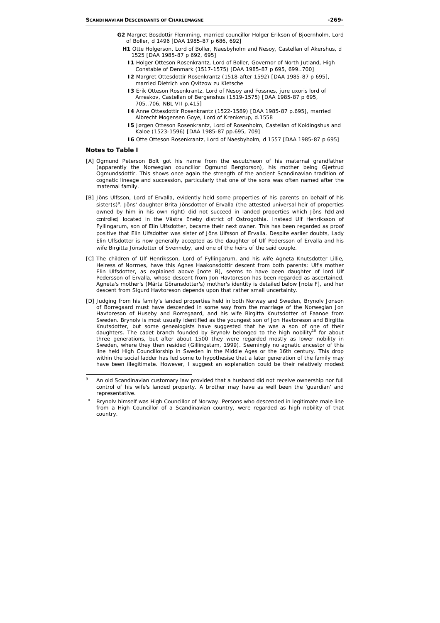- **G2** Margret Bosdottir Flemming, married councillor Holger Erikson of Bjoernholm, Lord of Boller, d 1496 [DAA 1985-87 p 686, 692]
	- **H1** Otte Holgerson, Lord of Boller, Naesbyholm and Nesoy, Castellan of Akershus, d 1525 [DAA 1985-87 p 692, 695]
		- **I1** Holger Otteson Rosenkrantz, Lord of Boller, Governor of North Jutland, High Constable of Denmark (1517-1575) [DAA 1985-87 p 695, 699..700]
		- **I2** Margret Ottesdottir Rosenkrantz (1518-after 1592) [DAA 1985-87 p 695], married Dietrich von Qvitzow zu Kletsche
		- **I3** Erik Otteson Rosenkrantz, Lord of Nesoy and Fossnes, jure uxoris lord of Arreskov, Castellan of Bergenshus (1519-1575) [DAA 1985-87 p 695, 705..706, NBL VII p.415]
		- **I4** Anne Ottesdottir Rosenkrantz (1522-1589) [DAA 1985-87 p.695], married Albrecht Mogensen Goye, Lord of Krenkerup, d.1558
		- **I5** Jørgen Otteson Rosenkrantz, Lord of Rosenholm, Castellan of Koldingshus and Kaloe (1523-1596) [DAA 1985-87 pp.695, 709]
		- **I6** Otte Otteson Rosenkrantz, Lord of Naesbyholm, d 1557 [DAA 1985-87 p 695]

#### **Notes to Table I**

- [A] Ogmund Peterson Bolt got his name from the escutcheon of his maternal grandfather (apparently the Norwegian councillor Ogmund Bergtorson), his mother being Gjertrud Ogmundsdottir. This shows once again the strength of the ancient Scandinavian tradition of cognatic lineage and succession, particularly that one of the sons was often named after the maternal family.
- [B] Jöns Ulfsson, Lord of Ervalla, evidently held some properties of his parents on behalf of his sister(s)<sup>9</sup>. Jöns' daughter Brita Jönsdotter of Ervalla (the attested universal heir of properties owned by him in his own right) did not succeed in landed properties which Jöns *held and controlled*, located in the Västra Eneby district of Ostrogothia. Instead Ulf Henriksson of Fyllingarum, son of Elin Ulfsdotter, became their next owner. This has been regarded as proof positive that Elin Ulfsdotter was sister of Jöns Ulfsson of Ervalla. Despite earlier doubts, Lady Elin Ulfsdotter is now generally accepted as the daughter of Ulf Pedersson of Ervalla and his wife Birgitta Jönsdotter of Svenneby, and one of the heirs of the said couple.
- [C] The children of Ulf Henriksson, Lord of Fyllingarum, and his wife Agneta Knutsdotter Lillie, Heiress of Norrnes, have this Agnes Haakonsdottir descent from both parents: Ulf's mother Elin Ulfsdotter, as explained above [note B], seems to have been daughter of lord Ulf Pedersson of Ervalla, whose descent from Jon Havtoreson has been regarded as ascertained. Agneta's mother's (Märta Göransdotter's) mother's identity is detailed below [note F], and her descent from Sigurd Havtoreson depends upon that rather small uncertainty.
- [D] Judging from his family's landed properties held in both Norway and Sweden, Brynolv Jonson of Borregaard must have descended in some way from the marriage of the Norwegian Jon Havtoreson of Huseby and Borregaard, and his wife Birgitta Knutsdotter of Faanoe from Sweden. Brynolv is most usually identified as the youngest son of Jon Havtoreson and Birgitta Knutsdotter, but some genealogists have suggested that he was a son of one of their daughters. The cadet branch founded by Brynoly belonged to the high nobility<sup>10</sup> for about three generations, but after about 1500 they were regarded mostly as lower nobility in Sweden, where they then resided (Gillingstam, 1999). Seemingly no agnatic ancestor of this line held High Councillorship in Sweden in the Middle Ages or the 16th century. This drop within the social ladder has led some to hypothesise that a later generation of the family may have been illegitimate. However, I suggest an explanation could be their relatively modest

<sup>.&</sup>lt;br>9 An old Scandinavian customary law provided that a husband did not receive ownership nor full control of his wife's landed property. A brother may have as well been the 'guardian' and representative.

<sup>&</sup>lt;sup>10</sup> Brynolv himself was High Councillor of Norway. Persons who descended in legitimate male line from a High Councillor of a Scandinavian country, were regarded as high nobility of that country.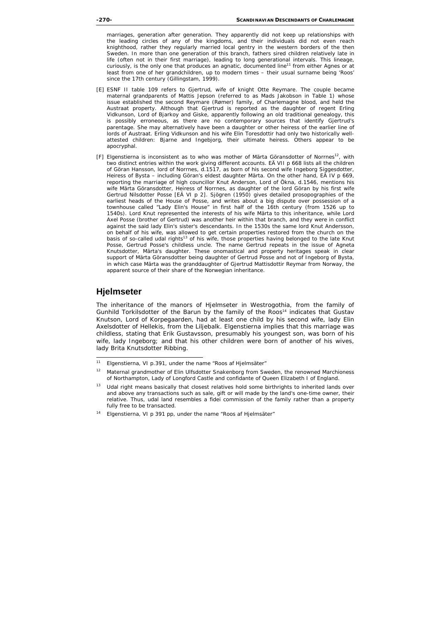marriages, generation after generation. They apparently did not keep up relationships with the leading circles of any of the kingdoms, and their individuals did not even reach knighthood, rather they regularly married local gentry in the western borders of the then Sweden. In more than one generation of this branch, fathers sired children relatively late in life (often not in their first marriage), leading to long generational intervals. This lineage, curiously, is the only one that produces an agnatic, documented line<sup>11</sup> from either Agnes or at least from one of her grandchildren, up to modern times – their usual surname being 'Roos' since the 17th century (Gillingstam, 1999).

- [E] ESNF II table 109 refers to Gjertrud, wife of knight Otte Reymare. The couple became maternal grandparents of Mattis Jepson (referred to as Mads Jakobson in Table 1) whose issue established the second Reymare (Rømer) family, of Charlemagne blood, and held the Austraat property. Although that Gjertrud is reported as the daughter of regent Erling Vidkunson, Lord of Bjarkoy and Giske, apparently following an old traditional genealogy, this is possibly erroneous, as there are no contemporary sources that identify Gjertrud's parentage. She may alternatively have been a daughter or other heiress of the earlier line of lords of Austraat. Erling Vidkunson and his wife Elin Toresdottir had only two historically wellattested children: Bjarne and Ingebjorg, their ultimate heiress. Others appear to be apocryphal.
- [F] Elgenstierna is inconsistent as to who was mother of Märta Göransdotter of Normes<sup>12</sup>, with two distinct entries within the work giving different accounts. EÄ VII p 668 lists all the children of Göran Hansson, lord of Norrnes, d.1517, as born of his second wife Ingeborg Siggesdotter, Heiress of Bysta – including Göran's eldest daughter Märta. On the other hand, EÄ IV p 669, reporting the marriage of high councillor Knut Anderson, Lord of Ökna, d.1546, mentions his wife Märta Göransdotter, Heiress of Norrnes, as daughter of the lord Göran by his first wife Gertrud Nilsdotter Posse [EÄ VI p 2]. Sjögren (1950) gives detailed prosopographies of the earliest heads of the House of Posse, and writes about a big dispute over possession of a townhouse called "Lady Elin's House" in first half of the 16th century (from 1526 up to 1540s). Lord Knut represented the interests of his wife Märta to this inheritance, while Lord Axel Posse (brother of Gertrud) was another heir within that branch, and they were in conflict against the said lady Elin's sister's descendants. In the 1530s the same lord Knut Andersson, on behalf of his wife, was allowed to get certain properties restored from the church on the basis of so-called udal rights<sup>13</sup> of his wife, those properties having belonged to the late Knut Posse, Gertrud Posse's childless uncle. The name Gertrud repeats in the issue of Agneta Knutsdotter, Märta's daughter. These onomastical and property heritages speak in clear support of Märta Göransdotter being daughter of Gertrud Posse and not of Ingeborg of Bysta, in which case Märta was the granddaughter of Gjertrud Mattisdottir Reymar from Norway, the apparent source of their share of the Norwegian inheritance.

# **Hjelmseter**

The inheritance of the manors of Hjelmseter in Westrogothia, from the family of Gunhild Torkilsdotter of the Barun by the family of the Roos<sup>14</sup> indicates that Gustav Knutson, Lord of Korpegaarden, had at least one child by his second wife, lady Elin Axelsdotter of Hellekis, from the Liljebalk. Elgenstierna implies that this marriage was childless, stating that Erik Gustavsson, presumably his youngest son, was born of his wife, lady Ingeborg; and that his other children were born of another of his wives, lady Brita Knutsdotter Ribbing.

<sup>-</sup><sup>11</sup> Elgenstierna, VI p.391, under the name "Roos af Hjelmsäter"

<sup>&</sup>lt;sup>12</sup> Maternal grandmother of Elin Ulfsdotter Snakenborg from Sweden, the renowned Marchioness of Northampton, Lady of Longford Castle and confidante of Queen Elizabeth I of England.

<sup>&</sup>lt;sup>13</sup> Udal right means basically that closest relatives hold some birthrights to inherited lands over and above any transactions such as sale, gift or will made by the land's one-time owner, their relative. Thus, udal land resembles a *fidei* commission of the family rather than a property fully free to be transacted.

<sup>14</sup> Elgenstierna, VI p 391 pp, under the name "Roos af Hjelmsäter"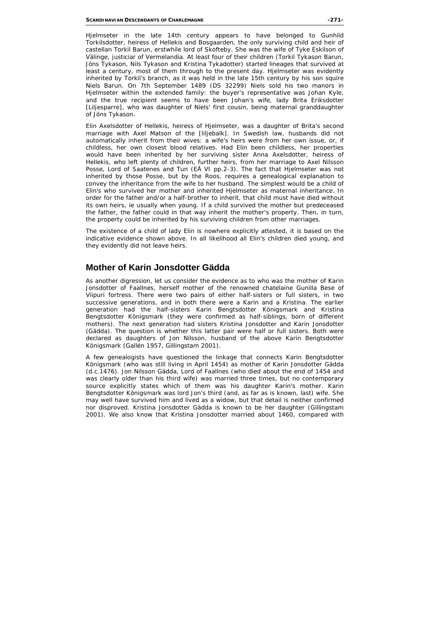Hjelmseter in the late 14th century appears to have belonged to Gunhild Torkilsdotter, heiress of Hellekis and Bosgaarden, the only surviving child and heir of castellan Torkil Barun, erstwhile lord of Skofteby. She was the wife of Tyke Eskilson of Välinge, justiciar of Vermelandia. At least four of their children (Torkil Tykason Barun, Jöns Tykason, Nils Tykason and Kristina Tykadotter) started lineages that survived at least a century, most of them through to the present day. Hielmseter was evidently inherited by Torkil's branch, as it was held in the late 15th century by his son squire Niels Barun. On 7th September 1489 (DS 32299) Niels sold his two manors in Hielmseter within the extended family: the buyer's representative was Johan Kyle, and the true recipient seems to have been Johan's wife, lady Brita Eriksdotter [Liljesparre], who was daughter of Niels' first cousin, being maternal granddaughter of Jöns Tykason.

Elin Axelsdotter of Hellekis, heiress of Hjelmseter, was a daughter of Brita's second marriage with Axel Matson of the [liljebalk]. In Swedish law, husbands did not automatically inherit from their wives: a wife's heirs were from her own issue, or, if childless, her own closest blood relatives. Had Elin been childless, her properties would have been inherited by her surviving sister Anna Axelsdotter, heiress of Hellekis, who left plenty of children, further heirs, from her marriage to Axel Nilsson Posse, Lord of Saatenes and Tun (EÄ VI pp.2-3). The fact that Hjelmseter was not inherited by those Posse, but by the Roos, requires a genealogical explanation to convey the inheritance from the wife to her husband. The simplest would be a child of Elin's who survived her mother and inherited Hjelmseter as maternal inheritance. In order for the father and/or a half-brother to inherit, that child must have died without its own heirs, *ie* usually when young. If a child survived the mother but predeceased the father, the father could in that way inherit the mother's property. Then, in turn, the property could be inherited by his surviving children from other marriages.

The existence of a child of lady Elin is nowhere explicitly attested, it is based on the indicative evidence shown above. In all likelihood all Elin's children died young, and they evidently did not leave heirs.

# **Mother of Karin Jonsdotter Gädda**

As another digression, let us consider the evidence as to who was the mother of Karin Jonsdotter of Faallnes, herself mother of the renowned chatelaine Gunilla Bese of Viipuri fortress. There were two pairs of either half-sisters or full sisters, in two successive generations, and in both there were a Karin and a Kristina. The earlier generation had the half-sisters Karin Bengtsdotter Königsmark and Kristina Bengtsdotter Königsmark (they were confirmed as half-siblings, born of different mothers). The next generation had sisters Kristina Jonsdotter and Karin Jonsdotter (Gädda). The question is whether this latter pair were half or full sisters. Both were declared as daughters of Jon Nilsson, husband of the above Karin Bengtsdotter Königsmark (Gallén 1957, Gillingstam 2001).

A few genealogists have questioned the linkage that connects Karin Bengtsdotter Königsmark (who was still living in April 1454) as mother of Karin Jonsdotter Gädda (d.c.1476). Jon Nilsson Gädda, Lord of Faallnes (who died about the end of 1454 and was clearly older than his third wife) was married three times, but no contemporary source explicitly states which of them was his daughter Karin's mother. Karin Bengtsdotter Königsmark was lord Jon's third (and, as far as is known, last) wife. She may well have survived him and lived as a widow, but that detail is neither confirmed nor disproved. Kristina Jonsdotter Gädda is known to be her daughter (Gillingstam 2001). We also know that Kristina Jonsdotter married about 1460, compared with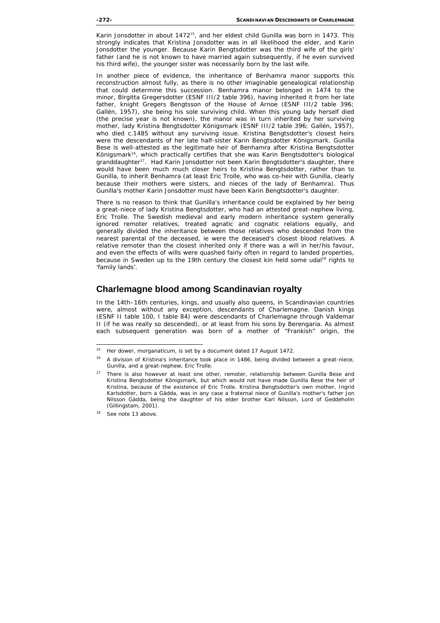Karin Jonsdotter in about 1472<sup>15</sup>, and her eldest child Gunilla was born in 1473. This strongly indicates that Kristina Jonsdotter was in all likelihood the elder, and Karin Jonsdotter the younger. Because Karin Bengtsdotter was the third wife of the girls' father (and he is not known to have married again subsequently, if he even survived his third wife), the younger sister was necessarily born by the last wife.

In another piece of evidence, the inheritance of Benhamra manor supports this reconstruction almost fully, as there is no other imaginable genealogical relationship that could determine this succession. Benhamra manor belonged in 1474 to the minor, Birgitta Gregersdotter (ESNF III/2 table 396), having inherited it from her late father, knight Gregers Bengtsson of the House of Arnoe (ESNF III/2 table 396; Gallén, 1957), she being his sole surviving child. When this young lady herself died (the precise year is not known), the manor was in turn inherited by her surviving mother, lady Kristina Bengtsdotter Königsmark (ESNF III/2 table 396; Gallén, 1957), who died c.1485 without any surviving issue. Kristina Bengtsdotter's closest heirs were the descendants of her late half-sister Karin Bengtsdotter Königsmark. Gunilla Bese is well-attested as the legitimate heir of Benhamra after Kristina Bengtsdotter Königsmark<sup>16</sup>, which practically certifies that she was Karin Bengtsdotter's biological granddaughter<sup>17</sup>. Had Karin Jonsdotter not been Karin Bengtsdotter's daughter, there would have been much much closer heirs to Kristina Bengtsdotter, rather than to Gunilla, to inherit Benhamra (at least Eric Trolle, who was co-heir with Gunilla, clearly because their mothers were sisters, and nieces of the lady of Benhamra). Thus Gunilla's mother Karin Jonsdotter must have been Karin Bengtsdotter's daughter.

There is no reason to think that Gunilla's inheritance could be explained by her being a great-niece of lady Kristina Bengtsdotter, who had an attested great-nephew living, Eric Trolle. The Swedish medieval and early modern inheritance system generally ignored remoter relatives, treated agnatic and cognatic relations equally, and generally divided the inheritance between those relatives who descended from the nearest parental of the deceased, *ie* were the deceased's closest blood relatives. A relative remoter than the closest inherited only if there was a will in her/his favour, and even the effects of wills were quashed fairly often in regard to landed properties, because in Sweden up to the 19th century the closest kin held some udal<sup>18</sup> rights to 'family lands'.

## **Charlemagne blood among Scandinavian royalty**

In the 14th–16th centuries, kings, and usually also queens, in Scandinavian countries were, almost without any exception, descendants of Charlemagne. Danish kings (ESNF II table 100, I table 84) were descendants of Charlemagne through Valdemar II (if he was really so descended), or at least from his sons by Berengaria. As almost each subsequent generation was born of a mother of "Frankish" origin, the

<sup>15</sup> 15 Her dower, *morganaticum*, is set by a document dated 17 August 1472.

<sup>&</sup>lt;sup>16</sup> A division of Kristina's inheritance took place in 1486, being divided between a great-niece, Gunilla, and a great-nephew, Eric Trolle.

<sup>&</sup>lt;sup>17</sup> There is also however at least one other, remoter, relationship between Gunilla Bese and Kristina Bengtsdotter Königsmark, but which would not have made Gunilla Bese the heir of Kristina, because of the existence of Eric Trolle. Kristina Bengtsdotter's own mother, Ingrid Karlsdotter, born a Gädda, was in any case a fraternal niece of Gunilla's mother's father Jon Nilsson Gädda, being the daughter of his elder brother Karl Nilsson, Lord of Geddeholm (Gillingstam, 2001).

<sup>&</sup>lt;sup>18</sup> See note 13 above.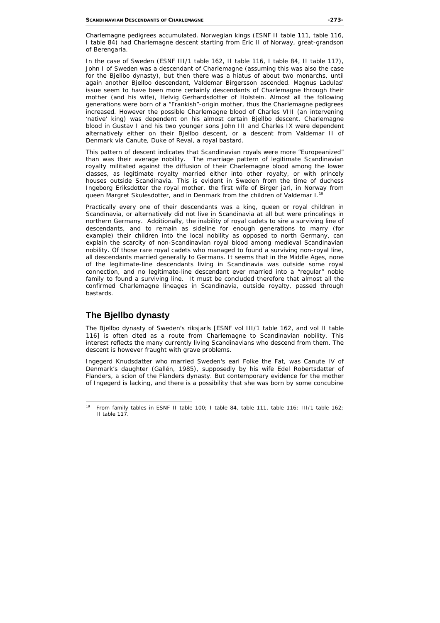Charlemagne pedigrees accumulated. Norwegian kings (ESNF II table 111, table 116, I table 84) had Charlemagne descent starting from Eric II of Norway, great-grandson of Berengaria.

In the case of Sweden (ESNF III/1 table 162, II table 116, I table 84, II table 117), John I of Sweden was a descendant of Charlemagne (assuming this was also the case for the Bjellbo dynasty), but then there was a hiatus of about two monarchs, until again another Bjellbo descendant, Valdemar Birgersson ascended. Magnus Ladulas' issue seem to have been more certainly descendants of Charlemagne through their mother (and his wife), Helvig Gerhardsdotter of Holstein. Almost all the following generations were born of a "Frankish"-origin mother, thus the Charlemagne pedigrees increased. However the possible Charlemagne blood of Charles VIII (an intervening 'native' king) was dependent on his almost certain Bjellbo descent. Charlemagne blood in Gustav I and his two younger sons John III and Charles IX were dependent alternatively either on their Bjellbo descent, or a descent from Valdemar II of Denmark via Canute, Duke of Reval, a royal bastard.

This pattern of descent indicates that Scandinavian royals were more "Europeanized" than was their average nobility. The marriage pattern of legitimate Scandinavian royalty militated against the diffusion of their Charlemagne blood among the lower classes, as legitimate royalty married either into other royalty, or with princely houses outside Scandinavia. This is evident in Sweden from the time of duchess Ingeborg Eriksdotter the royal mother, the first wife of Birger jarl, in Norway from queen Margret Skulesdotter, and in Denmark from the children of Valdemar I.19

Practically every one of their descendants was a king, queen or royal children in Scandinavia, or alternatively did not live in Scandinavia at all but were princelings in northern Germany. Additionally, the inability of royal cadets to sire a surviving line of descendants, and to remain as sideline for enough generations to marry (for example) their children into the local nobility as opposed to north Germany, can explain the scarcity of non-Scandinavian royal blood among medieval Scandinavian nobility. Of those rare royal cadets who managed to found a surviving non-royal line, all descendants married generally to Germans. It seems that in the Middle Ages, none of the legitimate-line descendants living in Scandinavia was outside some royal connection, and no legitimate-line descendant ever married into a "regular" noble family to found a surviving line. It must be concluded therefore that almost all the confirmed Charlemagne lineages in Scandinavia, outside royalty, passed through bastards.

# **The Bjellbo dynasty**

The Bjellbo dynasty of Sweden's riksjarls [ESNF vol III/1 table 162, and vol II table 116] is often cited as a route from Charlemagne to Scandinavian nobility. This interest reflects the many currently living Scandinavians who descend from them. The descent is however fraught with grave problems.

Ingegerd Knudsdatter who married Sweden's earl Folke the Fat, was Canute IV of Denmark's daughter (Gallén, 1985), supposedly by his wife Edel Robertsdatter of Flanders, a scion of the Flanders dynasty. But contemporary evidence for the mother of Ingegerd is lacking, and there is a possibility that she was born by some concubine

 $19$ From family tables in ESNF II table 100; I table 84, table 111, table 116; III/1 table 162; II table 117.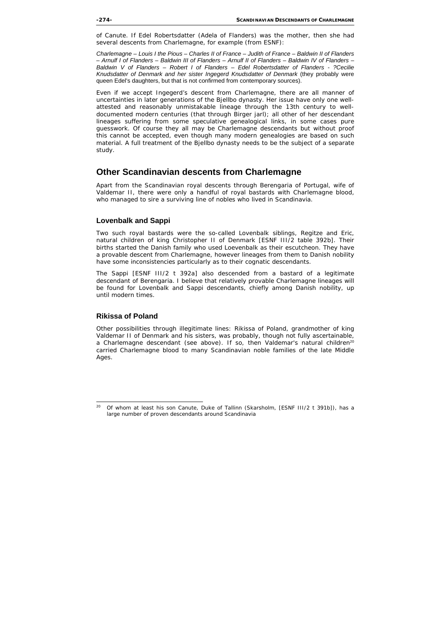of Canute. If Edel Robertsdatter (Adela of Flanders) was the mother, then she had several descents from Charlemagne, for example (from ESNF):

*Charlemagne – Louis I the Pious – Charles II of France – Judith of France – Baldwin II of Flanders – Arnulf I of Flanders – Baldwin III of Flanders – Arnulf II of Flanders – Baldwin IV of Flanders – Baldwin V of Flanders – Robert I of Flanders – Edel Robertsdatter of Flanders - ?Cecilie Knudsdatter of Denmark and her sister Ingegerd Knudsdatter of Denmark* (they probably were queen Edel's daughters, but that is not confirmed from contemporary sources).

Even if we accept Ingegerd's descent from Charlemagne, there are all manner of uncertainties in later generations of the Bjellbo dynasty. Her issue have only one wellattested and reasonably unmistakable lineage through the 13th century to welldocumented modern centuries (that through Birger jarl); all other of her descendant lineages suffering from some speculative genealogical links, in some cases pure guesswork. Of course they all may be Charlemagne descendants but without proof this cannot be accepted, even though many modern genealogies are based on such material. A full treatment of the Bjellbo dynasty needs to be the subject of a separate study.

### **Other Scandinavian descents from Charlemagne**

Apart from the Scandinavian royal descents through Berengaria of Portugal, wife of Valdemar II, there were only a handful of royal bastards with Charlemagne blood, who managed to sire a surviving line of nobles who lived in Scandinavia.

### **Lovenbalk and Sappi**

Two such royal bastards were the so-called Lovenbalk siblings, Regitze and Eric, natural children of king Christopher II of Denmark [ESNF III/2 table 392b]. Their births started the Danish family who used Loevenbalk as their escutcheon. They have a provable descent from Charlemagne, however lineages from them to Danish nobility have some inconsistencies particularly as to their cognatic descendants.

The Sappi [ESNF III/2 t 392a] also descended from a bastard of a legitimate descendant of Berengaria. I believe that relatively provable Charlemagne lineages will be found for Lovenbalk and Sappi descendants, chiefly among Danish nobility, up until modern times.

#### **Rikissa of Poland**

-

Other possibilities through illegitimate lines: Rikissa of Poland, grandmother of king Valdemar II of Denmark and his sisters, was probably, though not fully ascertainable, a Charlemagne descendant (see above). If so, then Valdemar's natural children<sup>20</sup> carried Charlemagne blood to many Scandinavian noble families of the late Middle Ages.

<sup>20</sup> Of whom at least his son Canute, Duke of Tallinn (Skarsholm, [ESNF III/2 t 391b]), has a large number of proven descendants around Scandinavia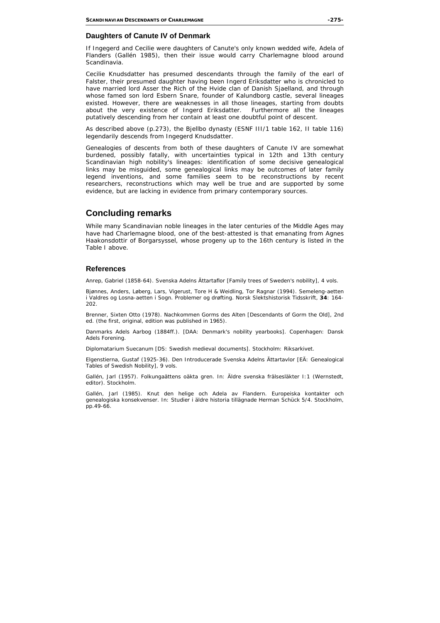### **Daughters of Canute IV of Denmark**

If Ingegerd and Cecilie were daughters of Canute's only known wedded wife, Adela of Flanders (Gallén 1985), then their issue would carry Charlemagne blood around Scandinavia.

Cecilie Knudsdatter has presumed descendants through the family of the earl of Falster, their presumed daughter having been Ingerd Eriksdatter who is chronicled to have married lord Asser the Rich of the Hvide clan of Danish Sjaelland, and through whose famed son lord Esbern Snare, founder of Kalundborg castle, several lineages existed. However, there are weaknesses in all those lineages, starting from doubts about the very existence of Ingerd Eriksdatter. Furthermore all the lineages putatively descending from her contain at least one doubtful point of descent.

As described above (p.273), the Bjellbo dynasty (ESNF III/1 table 162, II table 116) legendarily descends from Ingegerd Knudsdatter.

Genealogies of descents from both of these daughters of Canute IV are somewhat burdened, possibly fatally, with uncertainties typical in 12th and 13th century Scandinavian high nobility's lineages: identification of some decisive genealogical links may be misguided, some genealogical links may be outcomes of later family legend inventions, and some families seem to be reconstructions by recent researchers, reconstructions which may well be true and are supported by some evidence, but are lacking in evidence from primary contemporary sources.

## **Concluding remarks**

While many Scandinavian noble lineages in the later centuries of the Middle Ages may have had Charlemagne blood, one of the best-attested is that emanating from Agnes Haakonsdottir of Borgarsyssel, whose progeny up to the 16th century is listed in the Table I above.

#### **References**

Anrep, Gabriel (1858-64). *Svenska Adelns Ättartaflor* [Family trees of Sweden's nobility], 4 vols.

Bjønnes, Anders, Løberg, Lars, Vigerust, Tore H & Weidling, Tor Ragnar (1994). Semeleng-aetten i Valdres og Losna-aetten i Sogn. Problemer og drøfting. *Norsk Slektshistorisk Tidsskrift,* **34**: 164- 202.

Brenner, Sixten Otto (1978). *Nachkommen Gorms des Alten* [Descendants of Gorm the Old], 2nd ed. (the first, original, edition was published in 1965).

*Danmarks Adels Aarbog* (1884ff.). [DAA: Denmark's nobility yearbooks]. Copenhagen: Dansk Adels Forening.

*Diplomatarium Suecanum* [DS: Swedish medieval documents]. Stockholm: Riksarkivet.

Elgenstierna, Gustaf (1925-36). *Den Introducerade Svenska Adelns Ättartavlor* [EÄ: Genealogical Tables of Swedish Nobility], 9 vols.

Gallén, Jarl (1957). Folkungaättens oäkta gren. In: *Äldre svenska frälsesläkter* I:1 (Wernstedt, editor). Stockholm.

Gallén, Jarl (1985). Knut den helige och Adela av Flandern. Europeiska kontakter och genealogiska konsekvenser. In: *Studier i äldre historia tillägnade Herman Schück* 5/4. Stockholm, pp.49-66.